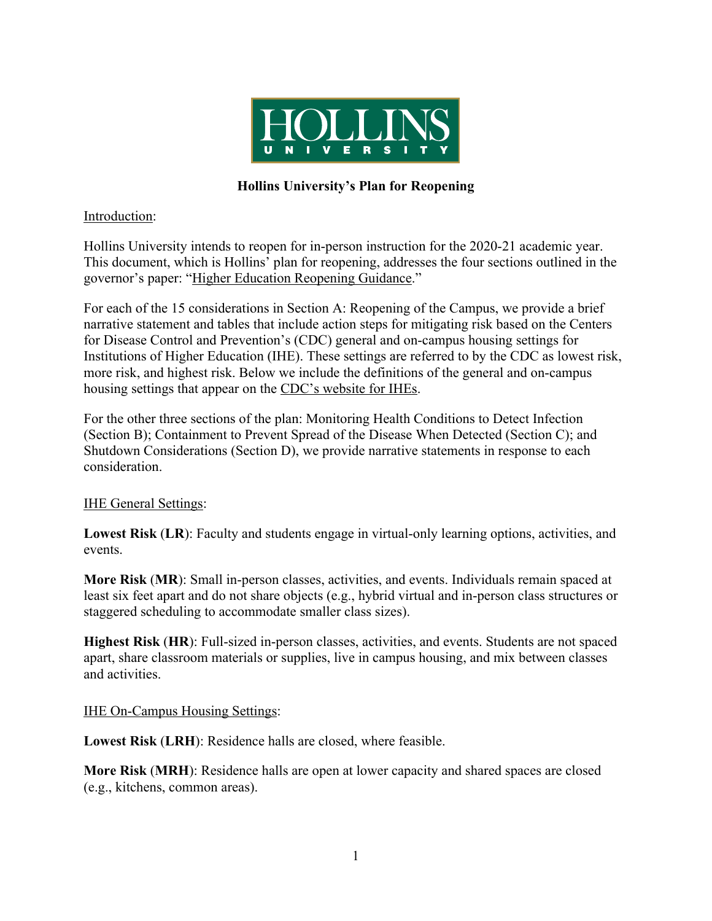

# **Hollins University's Plan for Reopening**

### Introduction:

Hollins University intends to reopen for in-person instruction for the 2020-21 academic year. This document, which is Hollins' plan for reopening, addresses the four sections outlined in the governor's paper: "Higher Education Reopening Guidance."

For each of the 15 considerations in Section A: Reopening of the Campus, we provide a brief narrative statement and tables that include action steps for mitigating risk based on the Centers for Disease Control and Prevention's (CDC) general and on-campus housing settings for Institutions of Higher Education (IHE). These settings are referred to by the CDC as lowest risk, more risk, and highest risk. Below we include the definitions of the general and on-campus housing settings that appear on the CDC's website for IHEs.

For the other three sections of the plan: Monitoring Health Conditions to Detect Infection (Section B); Containment to Prevent Spread of the Disease When Detected (Section C); and Shutdown Considerations (Section D), we provide narrative statements in response to each consideration.

## **IHE General Settings:**

**Lowest Risk** (**LR**): Faculty and students engage in virtual-only learning options, activities, and events.

**More Risk** (**MR**): Small in-person classes, activities, and events. Individuals remain spaced at least six feet apart and do not share objects (e.g., hybrid virtual and in-person class structures or staggered scheduling to accommodate smaller class sizes).

**Highest Risk** (**HR**): Full-sized in-person classes, activities, and events. Students are not spaced apart, share classroom materials or supplies, live in campus housing, and mix between classes and activities.

#### IHE On-Campus Housing Settings:

**Lowest Risk** (**LRH**): Residence halls are closed, where feasible.

**More Risk** (**MRH**): Residence halls are open at lower capacity and shared spaces are closed (e.g., kitchens, common areas).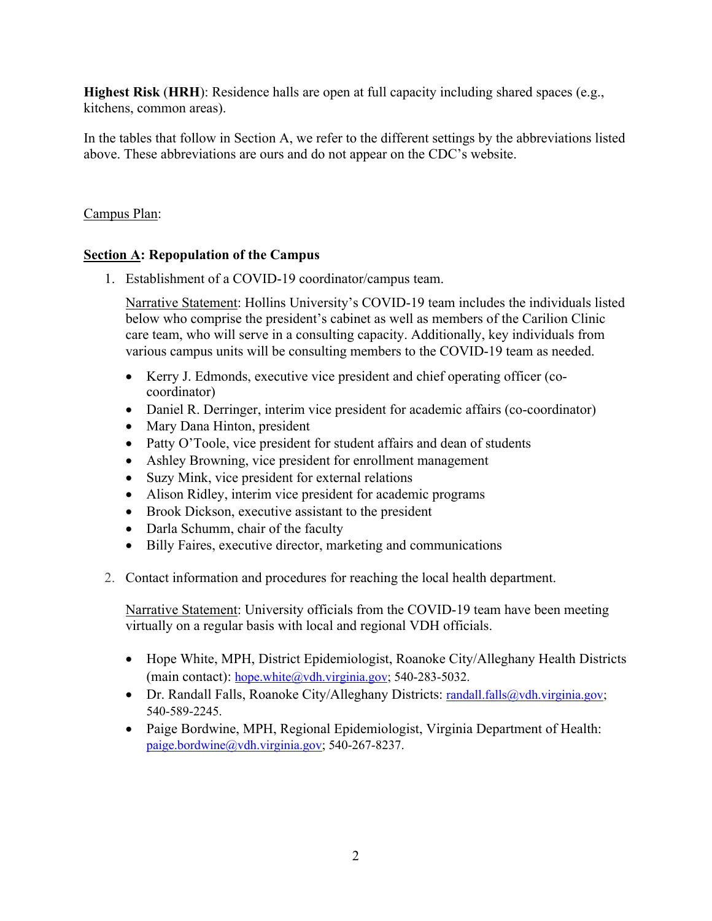**Highest Risk** (**HRH**): Residence halls are open at full capacity including shared spaces (e.g., kitchens, common areas).

In the tables that follow in Section A, we refer to the different settings by the abbreviations listed above. These abbreviations are ours and do not appear on the CDC's website.

# Campus Plan:

# **Section A: Repopulation of the Campus**

1. Establishment of a COVID-19 coordinator/campus team.

Narrative Statement: Hollins University's COVID-19 team includes the individuals listed below who comprise the president's cabinet as well as members of the Carilion Clinic care team, who will serve in a consulting capacity. Additionally, key individuals from various campus units will be consulting members to the COVID-19 team as needed.

- Kerry J. Edmonds, executive vice president and chief operating officer (cocoordinator)
- Daniel R. Derringer, interim vice president for academic affairs (co-coordinator)
- Mary Dana Hinton, president
- Patty O'Toole, vice president for student affairs and dean of students
- Ashley Browning, vice president for enrollment management
- Suzy Mink, vice president for external relations
- Alison Ridley, interim vice president for academic programs
- Brook Dickson, executive assistant to the president
- Darla Schumm, chair of the faculty
- Billy Faires, executive director, marketing and communications
- 2. Contact information and procedures for reaching the local health department.

Narrative Statement: University officials from the COVID-19 team have been meeting virtually on a regular basis with local and regional VDH officials.

- Hope White, MPH, District Epidemiologist, Roanoke City/Alleghany Health Districts (main contact): hope.white@vdh.virginia.gov; 540-283-5032.
- Dr. Randall Falls, Roanoke City/Alleghany Districts: randall.falls@vdh.virginia.gov; 540-589-2245.
- Paige Bordwine, MPH, Regional Epidemiologist, Virginia Department of Health: paige.bordwine@vdh.virginia.gov; 540-267-8237.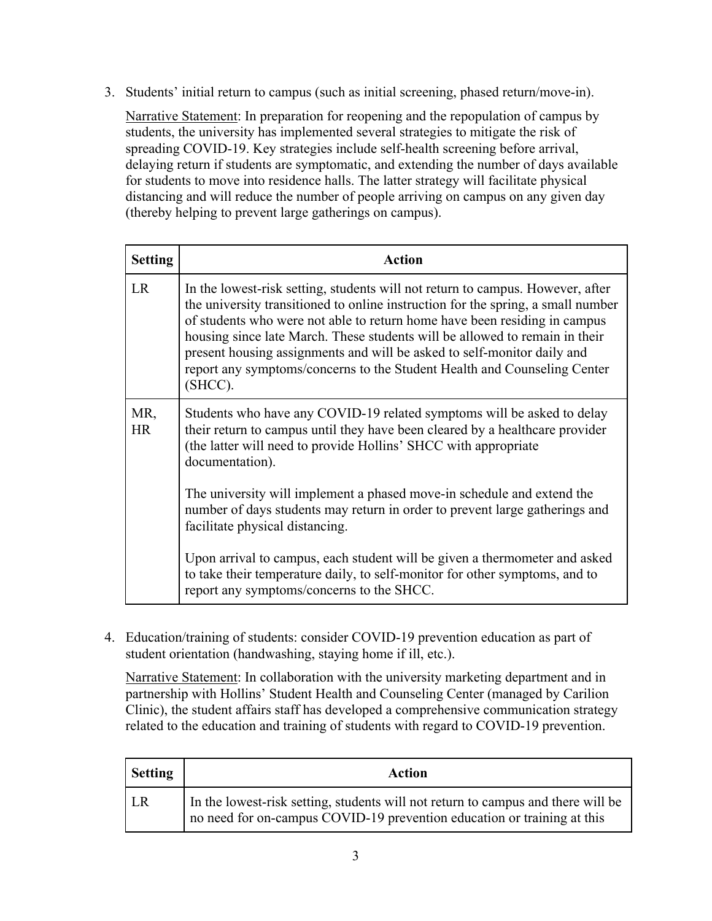3. Students' initial return to campus (such as initial screening, phased return/move-in).

Narrative Statement: In preparation for reopening and the repopulation of campus by students, the university has implemented several strategies to mitigate the risk of spreading COVID-19. Key strategies include self-health screening before arrival, delaying return if students are symptomatic, and extending the number of days available for students to move into residence halls. The latter strategy will facilitate physical distancing and will reduce the number of people arriving on campus on any given day (thereby helping to prevent large gatherings on campus).

| <b>Setting</b>   | <b>Action</b>                                                                                                                                                                                                                                                                                                                                                                                                                                                                                    |
|------------------|--------------------------------------------------------------------------------------------------------------------------------------------------------------------------------------------------------------------------------------------------------------------------------------------------------------------------------------------------------------------------------------------------------------------------------------------------------------------------------------------------|
| <b>LR</b>        | In the lowest-risk setting, students will not return to campus. However, after<br>the university transitioned to online instruction for the spring, a small number<br>of students who were not able to return home have been residing in campus<br>housing since late March. These students will be allowed to remain in their<br>present housing assignments and will be asked to self-monitor daily and<br>report any symptoms/concerns to the Student Health and Counseling Center<br>(SHCC). |
| MR,<br><b>HR</b> | Students who have any COVID-19 related symptoms will be asked to delay<br>their return to campus until they have been cleared by a healthcare provider<br>(the latter will need to provide Hollins' SHCC with appropriate<br>documentation).                                                                                                                                                                                                                                                     |
|                  | The university will implement a phased move-in schedule and extend the<br>number of days students may return in order to prevent large gatherings and<br>facilitate physical distancing.                                                                                                                                                                                                                                                                                                         |
|                  | Upon arrival to campus, each student will be given a thermometer and asked<br>to take their temperature daily, to self-monitor for other symptoms, and to<br>report any symptoms/concerns to the SHCC.                                                                                                                                                                                                                                                                                           |

4. Education/training of students: consider COVID-19 prevention education as part of student orientation (handwashing, staying home if ill, etc.).

Narrative Statement: In collaboration with the university marketing department and in partnership with Hollins' Student Health and Counseling Center (managed by Carilion Clinic), the student affairs staff has developed a comprehensive communication strategy related to the education and training of students with regard to COVID-19 prevention.

| <b>Setting</b> | Action                                                                                                                                                      |
|----------------|-------------------------------------------------------------------------------------------------------------------------------------------------------------|
| LR.            | In the lowest-risk setting, students will not return to campus and there will be<br>no need for on-campus COVID-19 prevention education or training at this |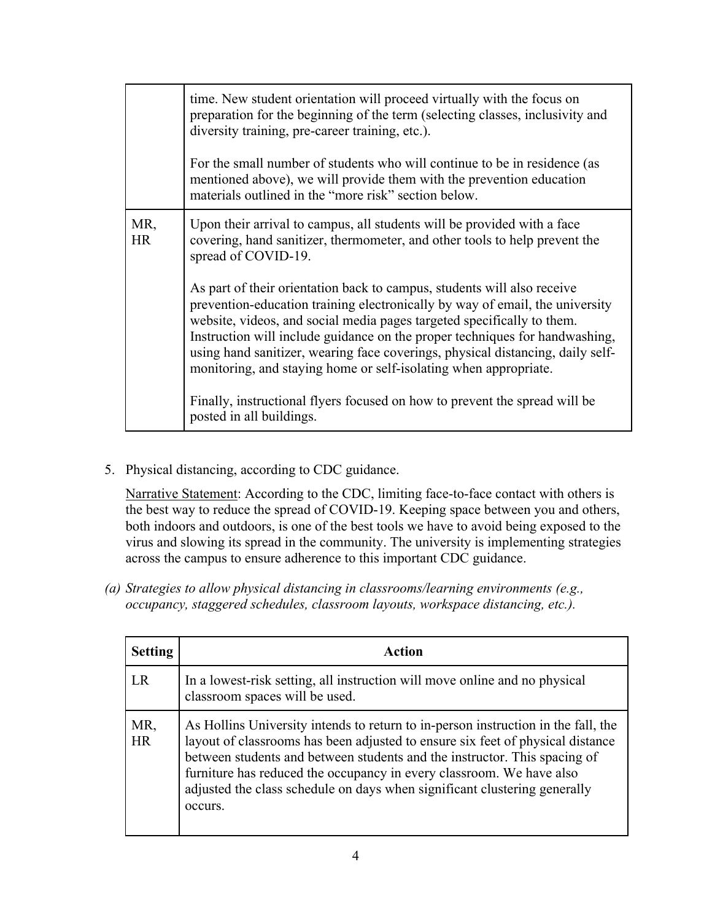|                  | time. New student orientation will proceed virtually with the focus on<br>preparation for the beginning of the term (selecting classes, inclusivity and<br>diversity training, pre-career training, etc.).<br>For the small number of students who will continue to be in residence (as<br>mentioned above), we will provide them with the prevention education<br>materials outlined in the "more risk" section below.                                                                                                                                                          |
|------------------|----------------------------------------------------------------------------------------------------------------------------------------------------------------------------------------------------------------------------------------------------------------------------------------------------------------------------------------------------------------------------------------------------------------------------------------------------------------------------------------------------------------------------------------------------------------------------------|
| MR,<br><b>HR</b> | Upon their arrival to campus, all students will be provided with a face<br>covering, hand sanitizer, thermometer, and other tools to help prevent the<br>spread of COVID-19.                                                                                                                                                                                                                                                                                                                                                                                                     |
|                  | As part of their orientation back to campus, students will also receive<br>prevention-education training electronically by way of email, the university<br>website, videos, and social media pages targeted specifically to them.<br>Instruction will include guidance on the proper techniques for handwashing,<br>using hand sanitizer, wearing face coverings, physical distancing, daily self-<br>monitoring, and staying home or self-isolating when appropriate.<br>Finally, instructional flyers focused on how to prevent the spread will be<br>posted in all buildings. |

5. Physical distancing, according to CDC guidance.

Narrative Statement: According to the CDC, limiting face-to-face contact with others is the best way to reduce the spread of COVID-19. Keeping space between you and others, both indoors and outdoors, is one of the best tools we have to avoid being exposed to the virus and slowing its spread in the community. The university is implementing strategies across the campus to ensure adherence to this important CDC guidance.

*(a) Strategies to allow physical distancing in classrooms/learning environments (e.g., occupancy, staggered schedules, classroom layouts, workspace distancing, etc.).*

| <b>Setting</b>   | Action                                                                                                                                                                                                                                                                                                                                                                                                           |
|------------------|------------------------------------------------------------------------------------------------------------------------------------------------------------------------------------------------------------------------------------------------------------------------------------------------------------------------------------------------------------------------------------------------------------------|
| LR               | In a lowest-risk setting, all instruction will move online and no physical<br>classroom spaces will be used.                                                                                                                                                                                                                                                                                                     |
| MR,<br><b>HR</b> | As Hollins University intends to return to in-person instruction in the fall, the<br>layout of classrooms has been adjusted to ensure six feet of physical distance<br>between students and between students and the instructor. This spacing of<br>furniture has reduced the occupancy in every classroom. We have also<br>adjusted the class schedule on days when significant clustering generally<br>occurs. |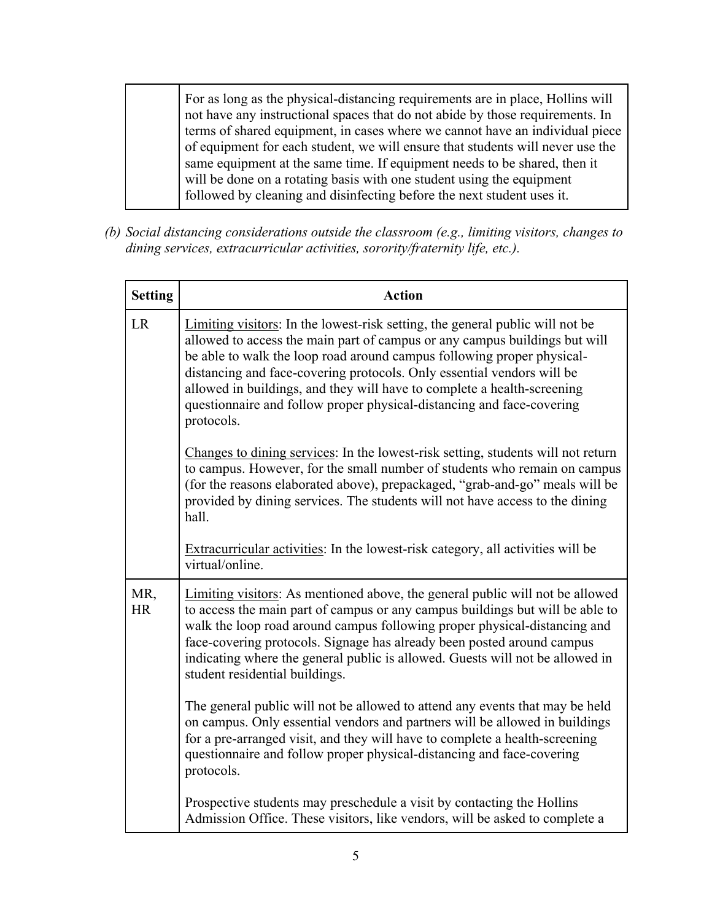For as long as the physical-distancing requirements are in place, Hollins will not have any instructional spaces that do not abide by those requirements. In terms of shared equipment, in cases where we cannot have an individual piece of equipment for each student, we will ensure that students will never use the same equipment at the same time. If equipment needs to be shared, then it will be done on a rotating basis with one student using the equipment followed by cleaning and disinfecting before the next student uses it.

*(b) Social distancing considerations outside the classroom (e.g., limiting visitors, changes to dining services, extracurricular activities, sorority/fraternity life, etc.).*

| <b>Setting</b>   | <b>Action</b>                                                                                                                                                                                                                                                                                                                                                                                                                                                                     |
|------------------|-----------------------------------------------------------------------------------------------------------------------------------------------------------------------------------------------------------------------------------------------------------------------------------------------------------------------------------------------------------------------------------------------------------------------------------------------------------------------------------|
| <b>LR</b>        | Limiting visitors: In the lowest-risk setting, the general public will not be<br>allowed to access the main part of campus or any campus buildings but will<br>be able to walk the loop road around campus following proper physical-<br>distancing and face-covering protocols. Only essential vendors will be<br>allowed in buildings, and they will have to complete a health-screening<br>questionnaire and follow proper physical-distancing and face-covering<br>protocols. |
|                  | Changes to dining services: In the lowest-risk setting, students will not return<br>to campus. However, for the small number of students who remain on campus<br>(for the reasons elaborated above), prepackaged, "grab-and-go" meals will be<br>provided by dining services. The students will not have access to the dining<br>hall.                                                                                                                                            |
|                  | Extracurricular activities: In the lowest-risk category, all activities will be<br>virtual/online.                                                                                                                                                                                                                                                                                                                                                                                |
| MR,<br><b>HR</b> | Limiting visitors: As mentioned above, the general public will not be allowed<br>to access the main part of campus or any campus buildings but will be able to<br>walk the loop road around campus following proper physical-distancing and<br>face-covering protocols. Signage has already been posted around campus<br>indicating where the general public is allowed. Guests will not be allowed in<br>student residential buildings.                                          |
|                  | The general public will not be allowed to attend any events that may be held<br>on campus. Only essential vendors and partners will be allowed in buildings<br>for a pre-arranged visit, and they will have to complete a health-screening<br>questionnaire and follow proper physical-distancing and face-covering<br>protocols.                                                                                                                                                 |
|                  | Prospective students may preschedule a visit by contacting the Hollins<br>Admission Office. These visitors, like vendors, will be asked to complete a                                                                                                                                                                                                                                                                                                                             |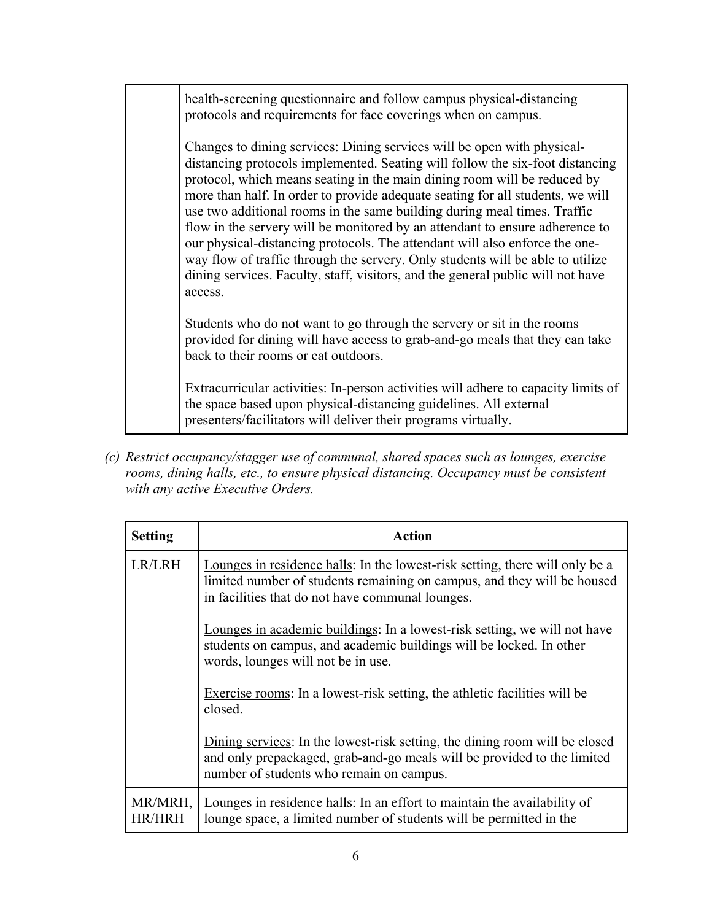health-screening questionnaire and follow campus physical-distancing protocols and requirements for face coverings when on campus.

Changes to dining services: Dining services will be open with physicaldistancing protocols implemented. Seating will follow the six-foot distancing protocol, which means seating in the main dining room will be reduced by more than half. In order to provide adequate seating for all students, we will use two additional rooms in the same building during meal times. Traffic flow in the servery will be monitored by an attendant to ensure adherence to our physical-distancing protocols. The attendant will also enforce the oneway flow of traffic through the servery. Only students will be able to utilize dining services. Faculty, staff, visitors, and the general public will not have access.

Students who do not want to go through the servery or sit in the rooms provided for dining will have access to grab-and-go meals that they can take back to their rooms or eat outdoors.

Extracurricular activities: In-person activities will adhere to capacity limits of the space based upon physical-distancing guidelines. All external presenters/facilitators will deliver their programs virtually.

*(c) Restrict occupancy/stagger use of communal, shared spaces such as lounges, exercise rooms, dining halls, etc., to ensure physical distancing. Occupancy must be consistent with any active Executive Orders.*

| <b>Setting</b>    | <b>Action</b>                                                                                                                                                                                               |
|-------------------|-------------------------------------------------------------------------------------------------------------------------------------------------------------------------------------------------------------|
| LR/LRH            | Lounges in residence halls: In the lowest-risk setting, there will only be a<br>limited number of students remaining on campus, and they will be housed<br>in facilities that do not have communal lounges. |
|                   | Lounges in academic buildings: In a lowest-risk setting, we will not have<br>students on campus, and academic buildings will be locked. In other<br>words, lounges will not be in use.                      |
|                   | Exercise rooms: In a lowest-risk setting, the athletic facilities will be<br>closed.                                                                                                                        |
|                   | Dining services: In the lowest-risk setting, the dining room will be closed<br>and only prepackaged, grab-and-go meals will be provided to the limited<br>number of students who remain on campus.          |
| MR/MRH,<br>HR/HRH | Lounges in residence halls: In an effort to maintain the availability of<br>lounge space, a limited number of students will be permitted in the                                                             |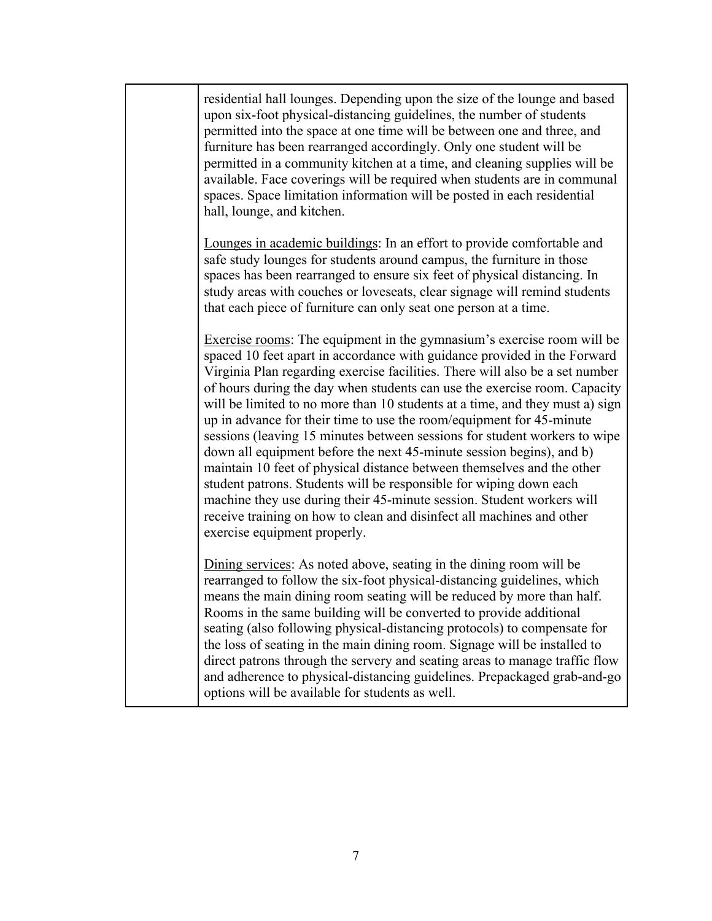| residential hall lounges. Depending upon the size of the lounge and based<br>upon six-foot physical-distancing guidelines, the number of students<br>permitted into the space at one time will be between one and three, and<br>furniture has been rearranged accordingly. Only one student will be<br>permitted in a community kitchen at a time, and cleaning supplies will be<br>available. Face coverings will be required when students are in communal<br>spaces. Space limitation information will be posted in each residential<br>hall, lounge, and kitchen.                                                                                                                                                                                                                                                                                                                                                                                          |
|----------------------------------------------------------------------------------------------------------------------------------------------------------------------------------------------------------------------------------------------------------------------------------------------------------------------------------------------------------------------------------------------------------------------------------------------------------------------------------------------------------------------------------------------------------------------------------------------------------------------------------------------------------------------------------------------------------------------------------------------------------------------------------------------------------------------------------------------------------------------------------------------------------------------------------------------------------------|
| Lounges in academic buildings: In an effort to provide comfortable and<br>safe study lounges for students around campus, the furniture in those<br>spaces has been rearranged to ensure six feet of physical distancing. In<br>study areas with couches or loveseats, clear signage will remind students<br>that each piece of furniture can only seat one person at a time.                                                                                                                                                                                                                                                                                                                                                                                                                                                                                                                                                                                   |
| Exercise rooms: The equipment in the gymnasium's exercise room will be<br>spaced 10 feet apart in accordance with guidance provided in the Forward<br>Virginia Plan regarding exercise facilities. There will also be a set number<br>of hours during the day when students can use the exercise room. Capacity<br>will be limited to no more than 10 students at a time, and they must a) sign<br>up in advance for their time to use the room/equipment for 45-minute<br>sessions (leaving 15 minutes between sessions for student workers to wipe<br>down all equipment before the next 45-minute session begins), and b)<br>maintain 10 feet of physical distance between themselves and the other<br>student patrons. Students will be responsible for wiping down each<br>machine they use during their 45-minute session. Student workers will<br>receive training on how to clean and disinfect all machines and other<br>exercise equipment properly. |
| Dining services: As noted above, seating in the dining room will be<br>rearranged to follow the six-foot physical-distancing guidelines, which<br>means the main dining room seating will be reduced by more than half.<br>Rooms in the same building will be converted to provide additional<br>seating (also following physical-distancing protocols) to compensate for<br>the loss of seating in the main dining room. Signage will be installed to<br>direct patrons through the servery and seating areas to manage traffic flow<br>and adherence to physical-distancing guidelines. Prepackaged grab-and-go<br>options will be available for students as well.                                                                                                                                                                                                                                                                                           |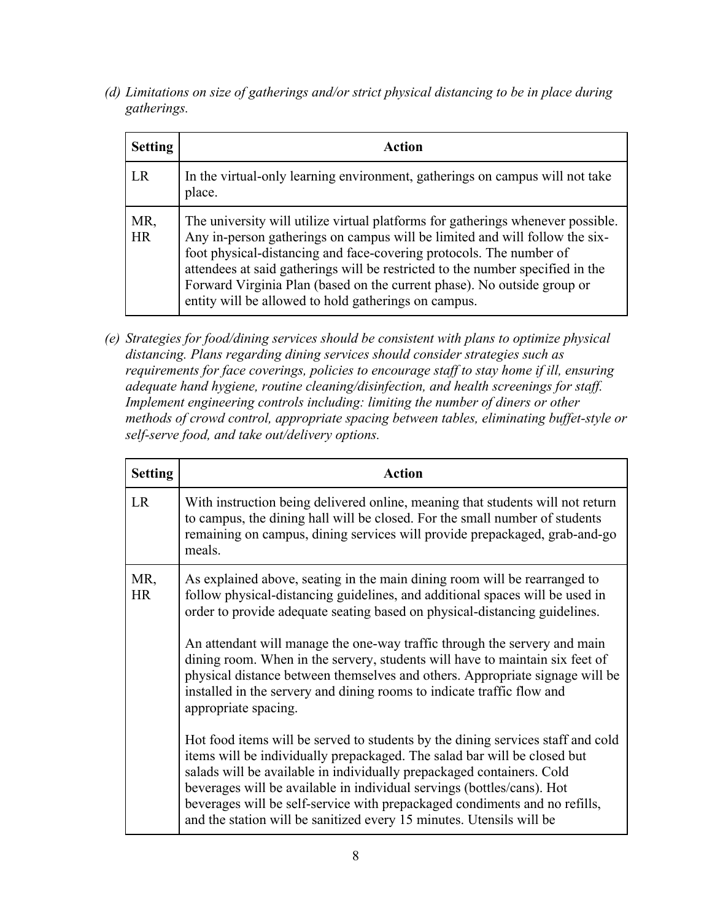*(d) Limitations on size of gatherings and/or strict physical distancing to be in place during gatherings.* 

| <b>Setting</b>   | Action                                                                                                                                                                                                                                                                                                                                                                                                                                                     |
|------------------|------------------------------------------------------------------------------------------------------------------------------------------------------------------------------------------------------------------------------------------------------------------------------------------------------------------------------------------------------------------------------------------------------------------------------------------------------------|
| LR               | In the virtual-only learning environment, gatherings on campus will not take<br>place.                                                                                                                                                                                                                                                                                                                                                                     |
| MR,<br><b>HR</b> | The university will utilize virtual platforms for gatherings whenever possible.<br>Any in-person gatherings on campus will be limited and will follow the six-<br>foot physical-distancing and face-covering protocols. The number of<br>attendees at said gatherings will be restricted to the number specified in the<br>Forward Virginia Plan (based on the current phase). No outside group or<br>entity will be allowed to hold gatherings on campus. |

*(e) Strategies for food/dining services should be consistent with plans to optimize physical distancing. Plans regarding dining services should consider strategies such as requirements for face coverings, policies to encourage staff to stay home if ill, ensuring adequate hand hygiene, routine cleaning/disinfection, and health screenings for staff. Implement engineering controls including: limiting the number of diners or other methods of crowd control, appropriate spacing between tables, eliminating buffet-style or self-serve food, and take out/delivery options.*

| <b>Setting</b>   | <b>Action</b>                                                                                                                                                                                                                                                                                                                                                                                                                                                                                                                                                                                                                                                             |
|------------------|---------------------------------------------------------------------------------------------------------------------------------------------------------------------------------------------------------------------------------------------------------------------------------------------------------------------------------------------------------------------------------------------------------------------------------------------------------------------------------------------------------------------------------------------------------------------------------------------------------------------------------------------------------------------------|
| <b>LR</b>        | With instruction being delivered online, meaning that students will not return<br>to campus, the dining hall will be closed. For the small number of students<br>remaining on campus, dining services will provide prepackaged, grab-and-go<br>meals.                                                                                                                                                                                                                                                                                                                                                                                                                     |
| MR,<br><b>HR</b> | As explained above, seating in the main dining room will be rearranged to<br>follow physical-distancing guidelines, and additional spaces will be used in<br>order to provide adequate seating based on physical-distancing guidelines.<br>An attendant will manage the one-way traffic through the servery and main<br>dining room. When in the servery, students will have to maintain six feet of<br>physical distance between themselves and others. Appropriate signage will be<br>installed in the servery and dining rooms to indicate traffic flow and<br>appropriate spacing.<br>Hot food items will be served to students by the dining services staff and cold |
|                  | items will be individually prepackaged. The salad bar will be closed but<br>salads will be available in individually prepackaged containers. Cold<br>beverages will be available in individual servings (bottles/cans). Hot<br>beverages will be self-service with prepackaged condiments and no refills,<br>and the station will be sanitized every 15 minutes. Utensils will be                                                                                                                                                                                                                                                                                         |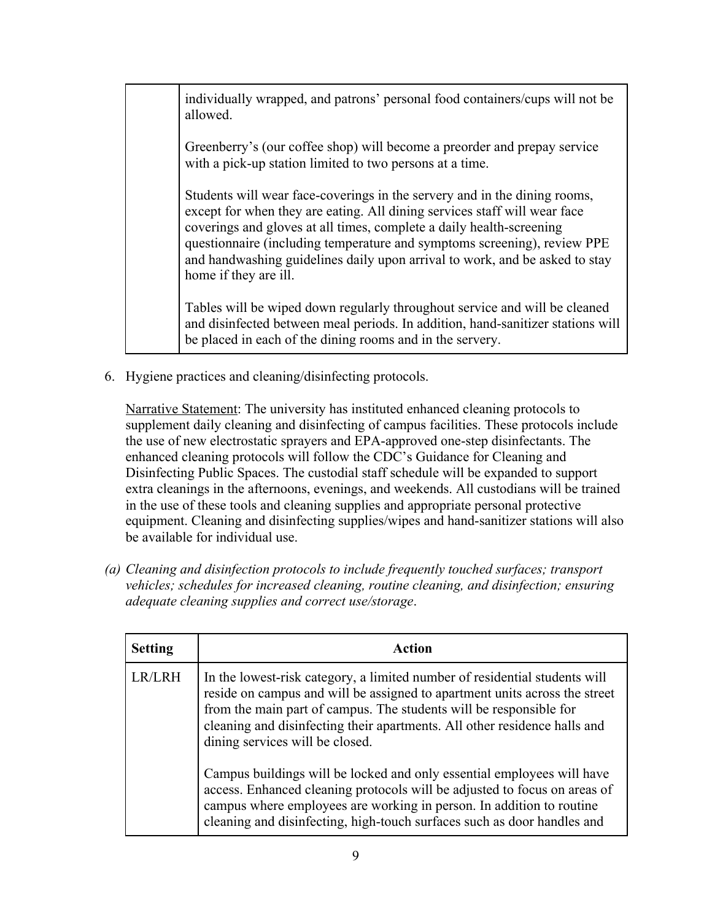individually wrapped, and patrons' personal food containers/cups will not be allowed.

Greenberry's (our coffee shop) will become a preorder and prepay service with a pick-up station limited to two persons at a time.

Students will wear face-coverings in the servery and in the dining rooms, except for when they are eating. All dining services staff will wear face coverings and gloves at all times, complete a daily health-screening questionnaire (including temperature and symptoms screening), review PPE and handwashing guidelines daily upon arrival to work, and be asked to stay home if they are ill.

Tables will be wiped down regularly throughout service and will be cleaned and disinfected between meal periods. In addition, hand-sanitizer stations will be placed in each of the dining rooms and in the servery.

6. Hygiene practices and cleaning/disinfecting protocols.

Narrative Statement: The university has instituted enhanced cleaning protocols to supplement daily cleaning and disinfecting of campus facilities. These protocols include the use of new electrostatic sprayers and EPA-approved one-step disinfectants. The enhanced cleaning protocols will follow the CDC's Guidance for Cleaning and Disinfecting Public Spaces. The custodial staff schedule will be expanded to support extra cleanings in the afternoons, evenings, and weekends. All custodians will be trained in the use of these tools and cleaning supplies and appropriate personal protective equipment. Cleaning and disinfecting supplies/wipes and hand-sanitizer stations will also be available for individual use.

*(a) Cleaning and disinfection protocols to include frequently touched surfaces; transport vehicles; schedules for increased cleaning, routine cleaning, and disinfection; ensuring adequate cleaning supplies and correct use/storage*.

| <b>Setting</b> | Action                                                                                                                                                                                                                                                                                                                                         |
|----------------|------------------------------------------------------------------------------------------------------------------------------------------------------------------------------------------------------------------------------------------------------------------------------------------------------------------------------------------------|
| LR/LRH         | In the lowest-risk category, a limited number of residential students will<br>reside on campus and will be assigned to apartment units across the street<br>from the main part of campus. The students will be responsible for<br>cleaning and disinfecting their apartments. All other residence halls and<br>dining services will be closed. |
|                | Campus buildings will be locked and only essential employees will have<br>access. Enhanced cleaning protocols will be adjusted to focus on areas of<br>campus where employees are working in person. In addition to routine<br>cleaning and disinfecting, high-touch surfaces such as door handles and                                         |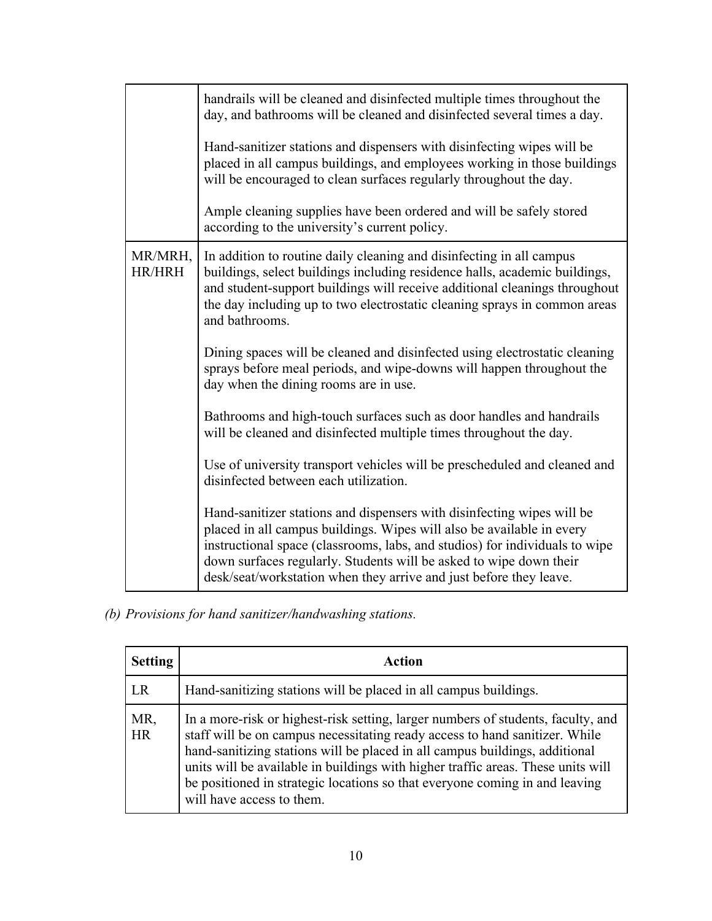|                          | handrails will be cleaned and disinfected multiple times throughout the<br>day, and bathrooms will be cleaned and disinfected several times a day.                                                                                                                                                                                                                         |
|--------------------------|----------------------------------------------------------------------------------------------------------------------------------------------------------------------------------------------------------------------------------------------------------------------------------------------------------------------------------------------------------------------------|
|                          | Hand-sanitizer stations and dispensers with disinfecting wipes will be<br>placed in all campus buildings, and employees working in those buildings<br>will be encouraged to clean surfaces regularly throughout the day.                                                                                                                                                   |
|                          | Ample cleaning supplies have been ordered and will be safely stored<br>according to the university's current policy.                                                                                                                                                                                                                                                       |
| MR/MRH,<br><b>HR/HRH</b> | In addition to routine daily cleaning and disinfecting in all campus<br>buildings, select buildings including residence halls, academic buildings,<br>and student-support buildings will receive additional cleanings throughout<br>the day including up to two electrostatic cleaning sprays in common areas<br>and bathrooms.                                            |
|                          | Dining spaces will be cleaned and disinfected using electrostatic cleaning<br>sprays before meal periods, and wipe-downs will happen throughout the<br>day when the dining rooms are in use.                                                                                                                                                                               |
|                          | Bathrooms and high-touch surfaces such as door handles and handrails<br>will be cleaned and disinfected multiple times throughout the day.                                                                                                                                                                                                                                 |
|                          | Use of university transport vehicles will be prescheduled and cleaned and<br>disinfected between each utilization.                                                                                                                                                                                                                                                         |
|                          | Hand-sanitizer stations and dispensers with disinfecting wipes will be<br>placed in all campus buildings. Wipes will also be available in every<br>instructional space (classrooms, labs, and studios) for individuals to wipe<br>down surfaces regularly. Students will be asked to wipe down their<br>desk/seat/workstation when they arrive and just before they leave. |

# *(b) Provisions for hand sanitizer/handwashing stations.*

| <b>Setting</b>   | Action                                                                                                                                                                                                                                                                                                                                                                                                                                         |
|------------------|------------------------------------------------------------------------------------------------------------------------------------------------------------------------------------------------------------------------------------------------------------------------------------------------------------------------------------------------------------------------------------------------------------------------------------------------|
| LR               | Hand-sanitizing stations will be placed in all campus buildings.                                                                                                                                                                                                                                                                                                                                                                               |
| MR,<br><b>HR</b> | In a more-risk or highest-risk setting, larger numbers of students, faculty, and<br>staff will be on campus necessitating ready access to hand sanitizer. While<br>hand-sanitizing stations will be placed in all campus buildings, additional<br>units will be available in buildings with higher traffic areas. These units will<br>be positioned in strategic locations so that everyone coming in and leaving<br>will have access to them. |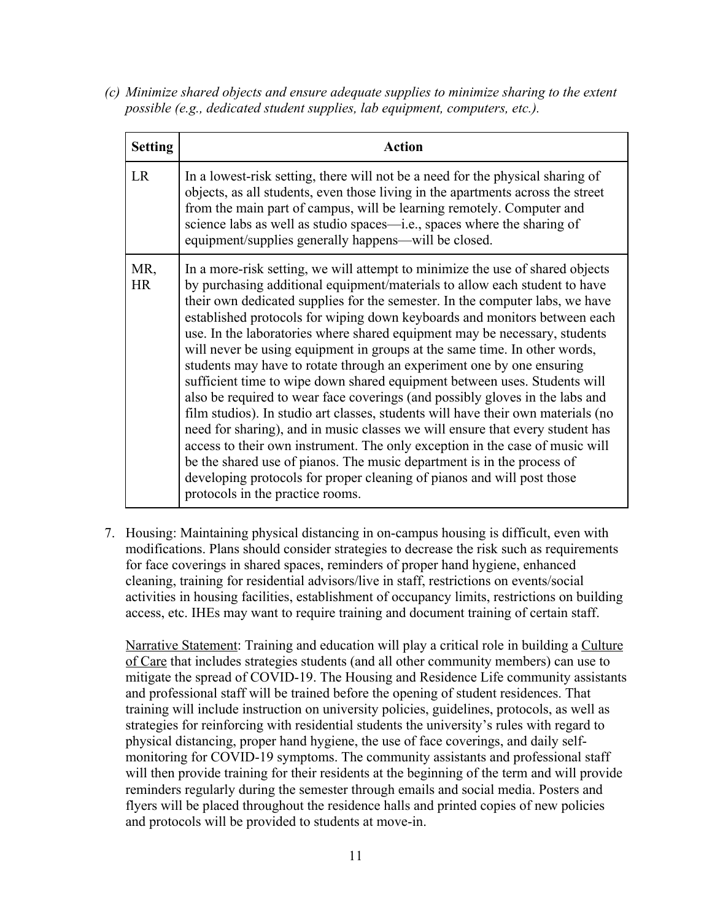*(c) Minimize shared objects and ensure adequate supplies to minimize sharing to the extent possible (e.g., dedicated student supplies, lab equipment, computers, etc.).*

| <b>Setting</b>   | <b>Action</b>                                                                                                                                                                                                                                                                                                                                                                                                                                                                                                                                                                                                                                                                                                                                                                                                                                                                                                                                                                                                                                                                                                                                                          |
|------------------|------------------------------------------------------------------------------------------------------------------------------------------------------------------------------------------------------------------------------------------------------------------------------------------------------------------------------------------------------------------------------------------------------------------------------------------------------------------------------------------------------------------------------------------------------------------------------------------------------------------------------------------------------------------------------------------------------------------------------------------------------------------------------------------------------------------------------------------------------------------------------------------------------------------------------------------------------------------------------------------------------------------------------------------------------------------------------------------------------------------------------------------------------------------------|
| <b>LR</b>        | In a lowest-risk setting, there will not be a need for the physical sharing of<br>objects, as all students, even those living in the apartments across the street<br>from the main part of campus, will be learning remotely. Computer and<br>science labs as well as studio spaces—i.e., spaces where the sharing of<br>equipment/supplies generally happens—will be closed.                                                                                                                                                                                                                                                                                                                                                                                                                                                                                                                                                                                                                                                                                                                                                                                          |
| MR,<br><b>HR</b> | In a more-risk setting, we will attempt to minimize the use of shared objects<br>by purchasing additional equipment/materials to allow each student to have<br>their own dedicated supplies for the semester. In the computer labs, we have<br>established protocols for wiping down keyboards and monitors between each<br>use. In the laboratories where shared equipment may be necessary, students<br>will never be using equipment in groups at the same time. In other words,<br>students may have to rotate through an experiment one by one ensuring<br>sufficient time to wipe down shared equipment between uses. Students will<br>also be required to wear face coverings (and possibly gloves in the labs and<br>film studios). In studio art classes, students will have their own materials (no<br>need for sharing), and in music classes we will ensure that every student has<br>access to their own instrument. The only exception in the case of music will<br>be the shared use of pianos. The music department is in the process of<br>developing protocols for proper cleaning of pianos and will post those<br>protocols in the practice rooms. |

7. Housing: Maintaining physical distancing in on-campus housing is difficult, even with modifications. Plans should consider strategies to decrease the risk such as requirements for face coverings in shared spaces, reminders of proper hand hygiene, enhanced cleaning, training for residential advisors/live in staff, restrictions on events/social activities in housing facilities, establishment of occupancy limits, restrictions on building access, etc. IHEs may want to require training and document training of certain staff.

Narrative Statement: Training and education will play a critical role in building a Culture of Care that includes strategies students (and all other community members) can use to mitigate the spread of COVID-19. The Housing and Residence Life community assistants and professional staff will be trained before the opening of student residences. That training will include instruction on university policies, guidelines, protocols, as well as strategies for reinforcing with residential students the university's rules with regard to physical distancing, proper hand hygiene, the use of face coverings, and daily selfmonitoring for COVID-19 symptoms. The community assistants and professional staff will then provide training for their residents at the beginning of the term and will provide reminders regularly during the semester through emails and social media. Posters and flyers will be placed throughout the residence halls and printed copies of new policies and protocols will be provided to students at move-in.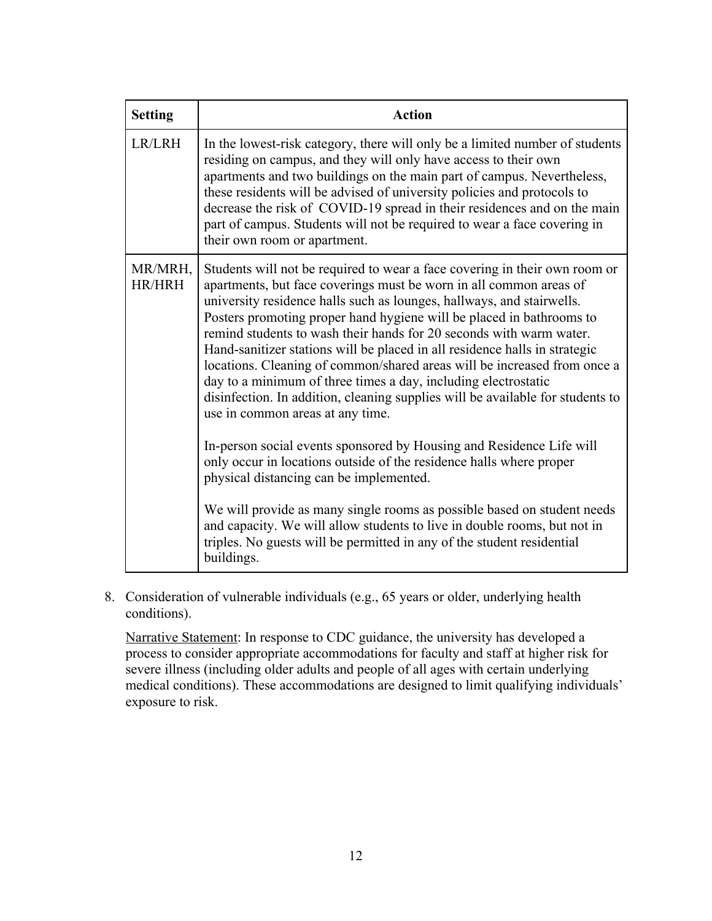| <b>Setting</b>           | <b>Action</b>                                                                                                                                                                                                                                                                                                                                                                                                                                                                                                                                                                                                                                                                                                                                                                                                                                                                                                                                                                                                                                                                                                                                                       |
|--------------------------|---------------------------------------------------------------------------------------------------------------------------------------------------------------------------------------------------------------------------------------------------------------------------------------------------------------------------------------------------------------------------------------------------------------------------------------------------------------------------------------------------------------------------------------------------------------------------------------------------------------------------------------------------------------------------------------------------------------------------------------------------------------------------------------------------------------------------------------------------------------------------------------------------------------------------------------------------------------------------------------------------------------------------------------------------------------------------------------------------------------------------------------------------------------------|
| LR/LRH                   | In the lowest-risk category, there will only be a limited number of students<br>residing on campus, and they will only have access to their own<br>apartments and two buildings on the main part of campus. Nevertheless,<br>these residents will be advised of university policies and protocols to<br>decrease the risk of COVID-19 spread in their residences and on the main<br>part of campus. Students will not be required to wear a face covering in<br>their own room or apartment.                                                                                                                                                                                                                                                                                                                                                                                                                                                                                                                                                                                                                                                                        |
| MR/MRH,<br><b>HR/HRH</b> | Students will not be required to wear a face covering in their own room or<br>apartments, but face coverings must be worn in all common areas of<br>university residence halls such as lounges, hallways, and stairwells.<br>Posters promoting proper hand hygiene will be placed in bathrooms to<br>remind students to wash their hands for 20 seconds with warm water.<br>Hand-sanitizer stations will be placed in all residence halls in strategic<br>locations. Cleaning of common/shared areas will be increased from once a<br>day to a minimum of three times a day, including electrostatic<br>disinfection. In addition, cleaning supplies will be available for students to<br>use in common areas at any time.<br>In-person social events sponsored by Housing and Residence Life will<br>only occur in locations outside of the residence halls where proper<br>physical distancing can be implemented.<br>We will provide as many single rooms as possible based on student needs<br>and capacity. We will allow students to live in double rooms, but not in<br>triples. No guests will be permitted in any of the student residential<br>buildings. |

8. Consideration of vulnerable individuals (e.g., 65 years or older, underlying health conditions).

Narrative Statement: In response to CDC guidance, the university has developed a process to consider appropriate accommodations for faculty and staff at higher risk for severe illness (including older adults and people of all ages with certain underlying medical conditions). These accommodations are designed to limit qualifying individuals' exposure to risk.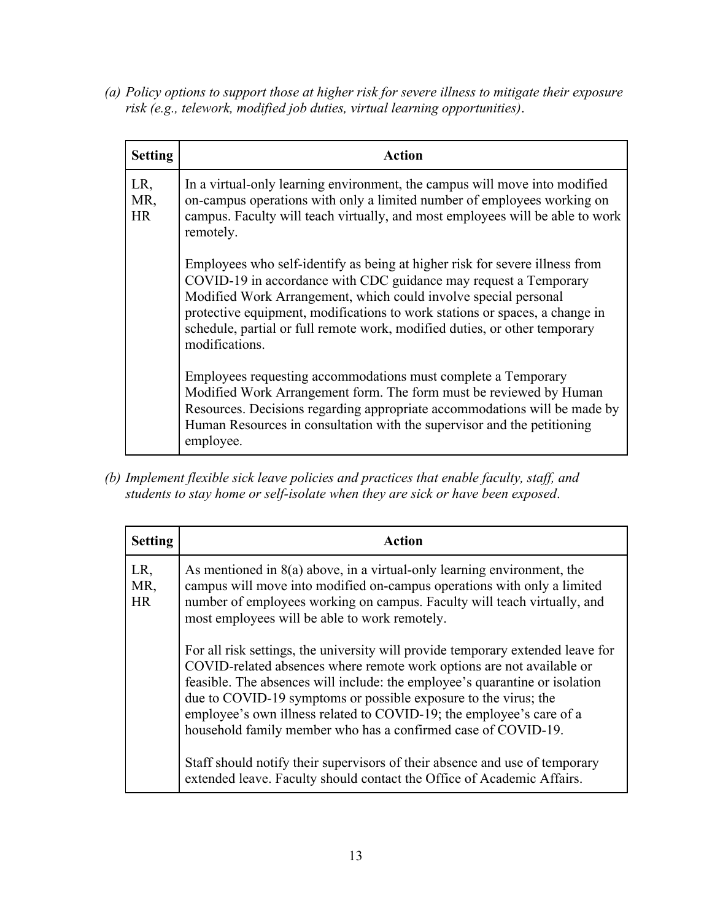*(a) Policy options to support those at higher risk for severe illness to mitigate their exposure risk (e.g., telework, modified job duties, virtual learning opportunities)*.

| <b>Setting</b>          | Action                                                                                                                                                                                                                                                                                                                                                                                            |
|-------------------------|---------------------------------------------------------------------------------------------------------------------------------------------------------------------------------------------------------------------------------------------------------------------------------------------------------------------------------------------------------------------------------------------------|
| LR,<br>MR,<br><b>HR</b> | In a virtual-only learning environment, the campus will move into modified<br>on-campus operations with only a limited number of employees working on<br>campus. Faculty will teach virtually, and most employees will be able to work<br>remotely.                                                                                                                                               |
|                         | Employees who self-identify as being at higher risk for severe illness from<br>COVID-19 in accordance with CDC guidance may request a Temporary<br>Modified Work Arrangement, which could involve special personal<br>protective equipment, modifications to work stations or spaces, a change in<br>schedule, partial or full remote work, modified duties, or other temporary<br>modifications. |
|                         | Employees requesting accommodations must complete a Temporary<br>Modified Work Arrangement form. The form must be reviewed by Human<br>Resources. Decisions regarding appropriate accommodations will be made by<br>Human Resources in consultation with the supervisor and the petitioning<br>employee.                                                                                          |

*(b) Implement flexible sick leave policies and practices that enable faculty, staff, and students to stay home or self-isolate when they are sick or have been exposed*.

| <b>Setting</b>   | Action                                                                                                                                                                                                                                                                                                                                                                                                                                              |
|------------------|-----------------------------------------------------------------------------------------------------------------------------------------------------------------------------------------------------------------------------------------------------------------------------------------------------------------------------------------------------------------------------------------------------------------------------------------------------|
| LR,<br>MR,<br>HR | As mentioned in $8(a)$ above, in a virtual-only learning environment, the<br>campus will move into modified on-campus operations with only a limited<br>number of employees working on campus. Faculty will teach virtually, and<br>most employees will be able to work remotely.                                                                                                                                                                   |
|                  | For all risk settings, the university will provide temporary extended leave for<br>COVID-related absences where remote work options are not available or<br>feasible. The absences will include: the employee's quarantine or isolation<br>due to COVID-19 symptoms or possible exposure to the virus; the<br>employee's own illness related to COVID-19; the employee's care of a<br>household family member who has a confirmed case of COVID-19. |
|                  | Staff should notify their supervisors of their absence and use of temporary<br>extended leave. Faculty should contact the Office of Academic Affairs.                                                                                                                                                                                                                                                                                               |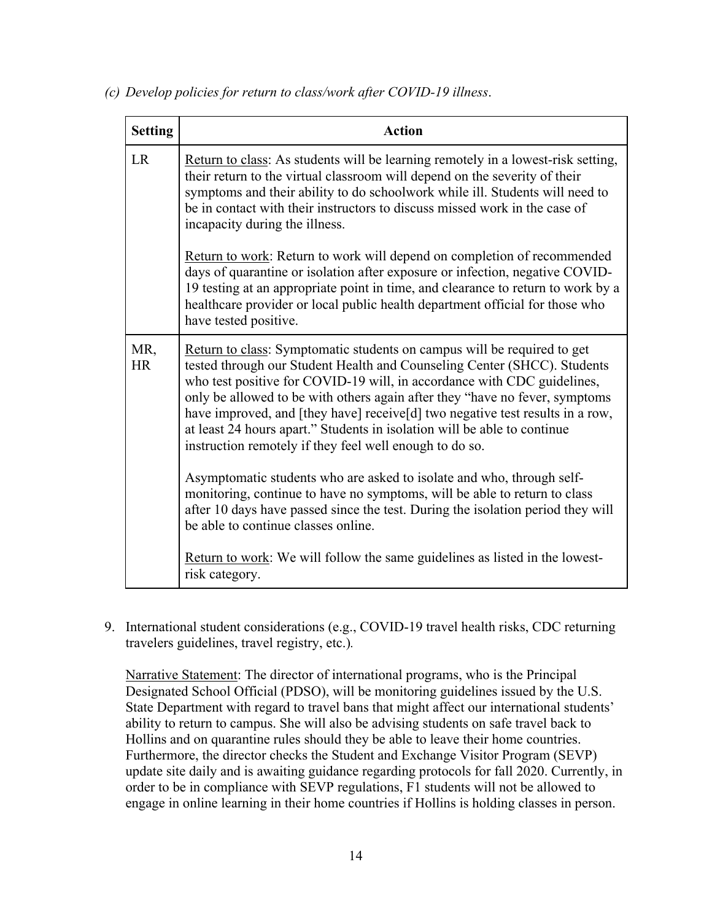| <b>Setting</b>   | <b>Action</b>                                                                                                                                                                                                                                                                                                                                                                                                                                                                                                                         |
|------------------|---------------------------------------------------------------------------------------------------------------------------------------------------------------------------------------------------------------------------------------------------------------------------------------------------------------------------------------------------------------------------------------------------------------------------------------------------------------------------------------------------------------------------------------|
| <b>LR</b>        | Return to class: As students will be learning remotely in a lowest-risk setting,<br>their return to the virtual classroom will depend on the severity of their<br>symptoms and their ability to do schoolwork while ill. Students will need to<br>be in contact with their instructors to discuss missed work in the case of<br>incapacity during the illness.                                                                                                                                                                        |
|                  | Return to work: Return to work will depend on completion of recommended<br>days of quarantine or isolation after exposure or infection, negative COVID-<br>19 testing at an appropriate point in time, and clearance to return to work by a<br>healthcare provider or local public health department official for those who<br>have tested positive.                                                                                                                                                                                  |
| MR,<br><b>HR</b> | Return to class: Symptomatic students on campus will be required to get<br>tested through our Student Health and Counseling Center (SHCC). Students<br>who test positive for COVID-19 will, in accordance with CDC guidelines,<br>only be allowed to be with others again after they "have no fever, symptoms<br>have improved, and [they have] receive[d] two negative test results in a row,<br>at least 24 hours apart." Students in isolation will be able to continue<br>instruction remotely if they feel well enough to do so. |
|                  | Asymptomatic students who are asked to isolate and who, through self-<br>monitoring, continue to have no symptoms, will be able to return to class<br>after 10 days have passed since the test. During the isolation period they will<br>be able to continue classes online.                                                                                                                                                                                                                                                          |
|                  | <b>Return to work:</b> We will follow the same guidelines as listed in the lowest-<br>risk category.                                                                                                                                                                                                                                                                                                                                                                                                                                  |

*(c) Develop policies for return to class/work after COVID-19 illness*.

9. International student considerations (e.g., COVID-19 travel health risks, CDC returning travelers guidelines, travel registry, etc.)*.*

Narrative Statement: The director of international programs, who is the Principal Designated School Official (PDSO), will be monitoring guidelines issued by the U.S. State Department with regard to travel bans that might affect our international students' ability to return to campus. She will also be advising students on safe travel back to Hollins and on quarantine rules should they be able to leave their home countries. Furthermore, the director checks the Student and Exchange Visitor Program (SEVP) update site daily and is awaiting guidance regarding protocols for fall 2020. Currently, in order to be in compliance with SEVP regulations, F1 students will not be allowed to engage in online learning in their home countries if Hollins is holding classes in person.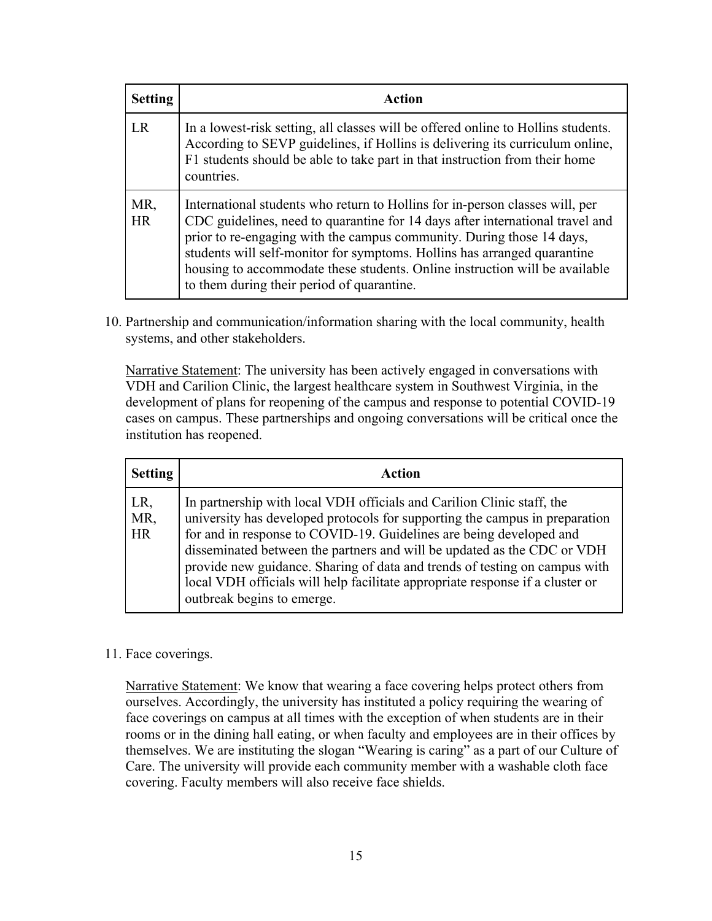| <b>Setting</b>   | Action                                                                                                                                                                                                                                                                                                                                                                                                                                          |
|------------------|-------------------------------------------------------------------------------------------------------------------------------------------------------------------------------------------------------------------------------------------------------------------------------------------------------------------------------------------------------------------------------------------------------------------------------------------------|
| LR               | In a lowest-risk setting, all classes will be offered online to Hollins students.<br>According to SEVP guidelines, if Hollins is delivering its curriculum online,<br>F1 students should be able to take part in that instruction from their home<br>countries.                                                                                                                                                                                 |
| MR,<br><b>HR</b> | International students who return to Hollins for in-person classes will, per<br>CDC guidelines, need to quarantine for 14 days after international travel and<br>prior to re-engaging with the campus community. During those 14 days,<br>students will self-monitor for symptoms. Hollins has arranged quarantine<br>housing to accommodate these students. Online instruction will be available<br>to them during their period of quarantine. |

10. Partnership and communication/information sharing with the local community, health systems, and other stakeholders.

Narrative Statement: The university has been actively engaged in conversations with VDH and Carilion Clinic, the largest healthcare system in Southwest Virginia, in the development of plans for reopening of the campus and response to potential COVID-19 cases on campus. These partnerships and ongoing conversations will be critical once the institution has reopened.

| <b>Setting</b>          | Action                                                                                                                                                                                                                                                                                                                                                                                                                                                                                               |
|-------------------------|------------------------------------------------------------------------------------------------------------------------------------------------------------------------------------------------------------------------------------------------------------------------------------------------------------------------------------------------------------------------------------------------------------------------------------------------------------------------------------------------------|
| LR,<br>MR,<br><b>HR</b> | In partnership with local VDH officials and Carilion Clinic staff, the<br>university has developed protocols for supporting the campus in preparation<br>for and in response to COVID-19. Guidelines are being developed and<br>disseminated between the partners and will be updated as the CDC or VDH<br>provide new guidance. Sharing of data and trends of testing on campus with<br>local VDH officials will help facilitate appropriate response if a cluster or<br>outbreak begins to emerge. |

#### 11. Face coverings.

Narrative Statement: We know that wearing a face covering helps protect others from ourselves. Accordingly, the university has instituted a policy requiring the wearing of face coverings on campus at all times with the exception of when students are in their rooms or in the dining hall eating, or when faculty and employees are in their offices by themselves. We are instituting the slogan "Wearing is caring" as a part of our Culture of Care. The university will provide each community member with a washable cloth face covering. Faculty members will also receive face shields.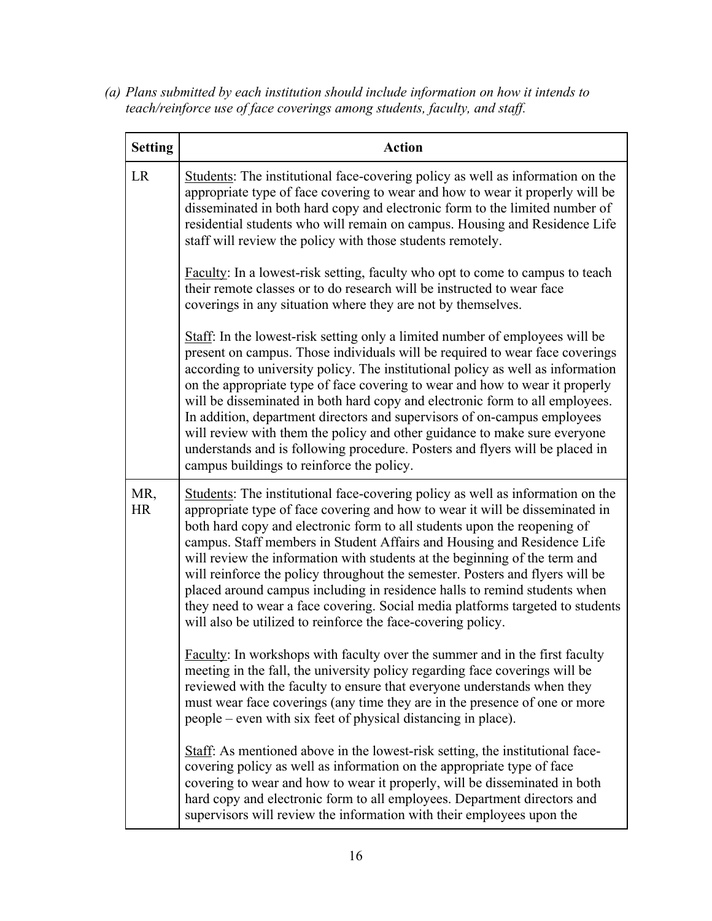*(a) Plans submitted by each institution should include information on how it intends to teach/reinforce use of face coverings among students, faculty, and staff.*

| <b>Setting</b>   | <b>Action</b>                                                                                                                                                                                                                                                                                                                                                                                                                                                                                                                                                                                                                                                                                                       |
|------------------|---------------------------------------------------------------------------------------------------------------------------------------------------------------------------------------------------------------------------------------------------------------------------------------------------------------------------------------------------------------------------------------------------------------------------------------------------------------------------------------------------------------------------------------------------------------------------------------------------------------------------------------------------------------------------------------------------------------------|
| <b>LR</b>        | Students: The institutional face-covering policy as well as information on the<br>appropriate type of face covering to wear and how to wear it properly will be<br>disseminated in both hard copy and electronic form to the limited number of<br>residential students who will remain on campus. Housing and Residence Life<br>staff will review the policy with those students remotely.                                                                                                                                                                                                                                                                                                                          |
|                  | Faculty: In a lowest-risk setting, faculty who opt to come to campus to teach<br>their remote classes or to do research will be instructed to wear face<br>coverings in any situation where they are not by themselves.                                                                                                                                                                                                                                                                                                                                                                                                                                                                                             |
|                  | Staff: In the lowest-risk setting only a limited number of employees will be<br>present on campus. Those individuals will be required to wear face coverings<br>according to university policy. The institutional policy as well as information<br>on the appropriate type of face covering to wear and how to wear it properly<br>will be disseminated in both hard copy and electronic form to all employees.<br>In addition, department directors and supervisors of on-campus employees<br>will review with them the policy and other guidance to make sure everyone<br>understands and is following procedure. Posters and flyers will be placed in<br>campus buildings to reinforce the policy.               |
| MR,<br><b>HR</b> | Students: The institutional face-covering policy as well as information on the<br>appropriate type of face covering and how to wear it will be disseminated in<br>both hard copy and electronic form to all students upon the reopening of<br>campus. Staff members in Student Affairs and Housing and Residence Life<br>will review the information with students at the beginning of the term and<br>will reinforce the policy throughout the semester. Posters and flyers will be<br>placed around campus including in residence halls to remind students when<br>they need to wear a face covering. Social media platforms targeted to students<br>will also be utilized to reinforce the face-covering policy. |
|                  | Faculty: In workshops with faculty over the summer and in the first faculty<br>meeting in the fall, the university policy regarding face coverings will be<br>reviewed with the faculty to ensure that everyone understands when they<br>must wear face coverings (any time they are in the presence of one or more<br>people – even with six feet of physical distancing in place).                                                                                                                                                                                                                                                                                                                                |
|                  | Staff: As mentioned above in the lowest-risk setting, the institutional face-<br>covering policy as well as information on the appropriate type of face<br>covering to wear and how to wear it properly, will be disseminated in both<br>hard copy and electronic form to all employees. Department directors and<br>supervisors will review the information with their employees upon the                                                                                                                                                                                                                                                                                                                          |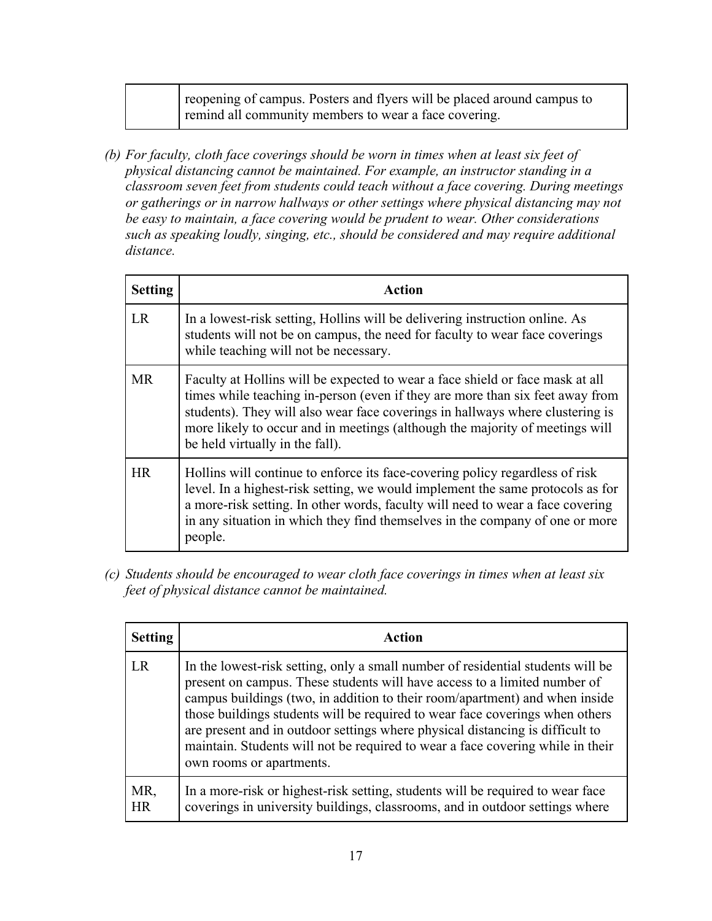| reopening of campus. Posters and flyers will be placed around campus to |  |
|-------------------------------------------------------------------------|--|
| remind all community members to wear a face covering.                   |  |

*(b) For faculty, cloth face coverings should be worn in times when at least six feet of physical distancing cannot be maintained. For example, an instructor standing in a classroom seven feet from students could teach without a face covering. During meetings or gatherings or in narrow hallways or other settings where physical distancing may not be easy to maintain, a face covering would be prudent to wear. Other considerations such as speaking loudly, singing, etc., should be considered and may require additional distance.*

| <b>Setting</b> | <b>Action</b>                                                                                                                                                                                                                                                                                                                                                      |
|----------------|--------------------------------------------------------------------------------------------------------------------------------------------------------------------------------------------------------------------------------------------------------------------------------------------------------------------------------------------------------------------|
| <b>LR</b>      | In a lowest-risk setting, Hollins will be delivering instruction online. As<br>students will not be on campus, the need for faculty to wear face coverings<br>while teaching will not be necessary.                                                                                                                                                                |
| MR.            | Faculty at Hollins will be expected to wear a face shield or face mask at all<br>times while teaching in-person (even if they are more than six feet away from<br>students). They will also wear face coverings in hallways where clustering is<br>more likely to occur and in meetings (although the majority of meetings will<br>be held virtually in the fall). |
| HR             | Hollins will continue to enforce its face-covering policy regardless of risk<br>level. In a highest-risk setting, we would implement the same protocols as for<br>a more-risk setting. In other words, faculty will need to wear a face covering<br>in any situation in which they find themselves in the company of one or more<br>people.                        |

*(c) Students should be encouraged to wear cloth face coverings in times when at least six feet of physical distance cannot be maintained.*

| <b>Setting</b>   | Action                                                                                                                                                                                                                                                                                                                                                                                                                                                                                                                     |
|------------------|----------------------------------------------------------------------------------------------------------------------------------------------------------------------------------------------------------------------------------------------------------------------------------------------------------------------------------------------------------------------------------------------------------------------------------------------------------------------------------------------------------------------------|
| LR               | In the lowest-risk setting, only a small number of residential students will be<br>present on campus. These students will have access to a limited number of<br>campus buildings (two, in addition to their room/apartment) and when inside<br>those buildings students will be required to wear face coverings when others<br>are present and in outdoor settings where physical distancing is difficult to<br>maintain. Students will not be required to wear a face covering while in their<br>own rooms or apartments. |
| MR,<br><b>HR</b> | In a more-risk or highest-risk setting, students will be required to wear face<br>coverings in university buildings, classrooms, and in outdoor settings where                                                                                                                                                                                                                                                                                                                                                             |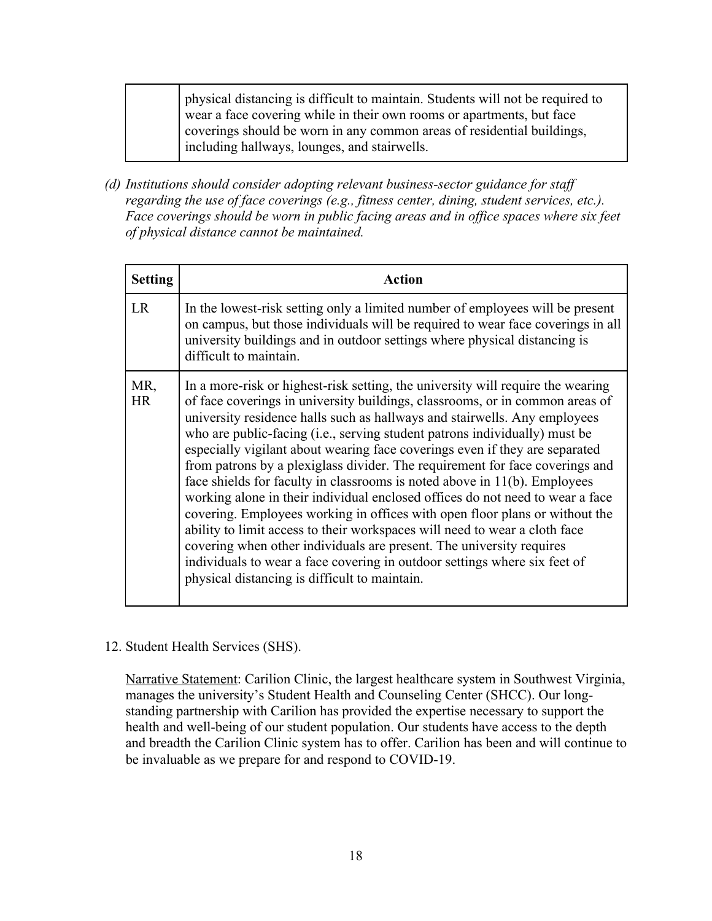physical distancing is difficult to maintain. Students will not be required to wear a face covering while in their own rooms or apartments, but face coverings should be worn in any common areas of residential buildings, including hallways, lounges, and stairwells.

*(d) Institutions should consider adopting relevant business-sector guidance for staff regarding the use of face coverings (e.g., fitness center, dining, student services, etc.).*  Face coverings should be worn in public facing areas and in office spaces where six feet *of physical distance cannot be maintained.*

| <b>Setting</b>   | Action                                                                                                                                                                                                                                                                                                                                                                                                                                                                                                                                                                                                                                                                                                                                                                                                                                                                                                                                                                                                                     |
|------------------|----------------------------------------------------------------------------------------------------------------------------------------------------------------------------------------------------------------------------------------------------------------------------------------------------------------------------------------------------------------------------------------------------------------------------------------------------------------------------------------------------------------------------------------------------------------------------------------------------------------------------------------------------------------------------------------------------------------------------------------------------------------------------------------------------------------------------------------------------------------------------------------------------------------------------------------------------------------------------------------------------------------------------|
| LR               | In the lowest-risk setting only a limited number of employees will be present<br>on campus, but those individuals will be required to wear face coverings in all<br>university buildings and in outdoor settings where physical distancing is<br>difficult to maintain.                                                                                                                                                                                                                                                                                                                                                                                                                                                                                                                                                                                                                                                                                                                                                    |
| MR,<br><b>HR</b> | In a more-risk or highest-risk setting, the university will require the wearing<br>of face coverings in university buildings, classrooms, or in common areas of<br>university residence halls such as hallways and stairwells. Any employees<br>who are public-facing (i.e., serving student patrons individually) must be<br>especially vigilant about wearing face coverings even if they are separated<br>from patrons by a plexiglass divider. The requirement for face coverings and<br>face shields for faculty in classrooms is noted above in 11(b). Employees<br>working alone in their individual enclosed offices do not need to wear a face<br>covering. Employees working in offices with open floor plans or without the<br>ability to limit access to their workspaces will need to wear a cloth face<br>covering when other individuals are present. The university requires<br>individuals to wear a face covering in outdoor settings where six feet of<br>physical distancing is difficult to maintain. |

12. Student Health Services (SHS).

Narrative Statement: Carilion Clinic, the largest healthcare system in Southwest Virginia, manages the university's Student Health and Counseling Center (SHCC). Our longstanding partnership with Carilion has provided the expertise necessary to support the health and well-being of our student population. Our students have access to the depth and breadth the Carilion Clinic system has to offer. Carilion has been and will continue to be invaluable as we prepare for and respond to COVID-19.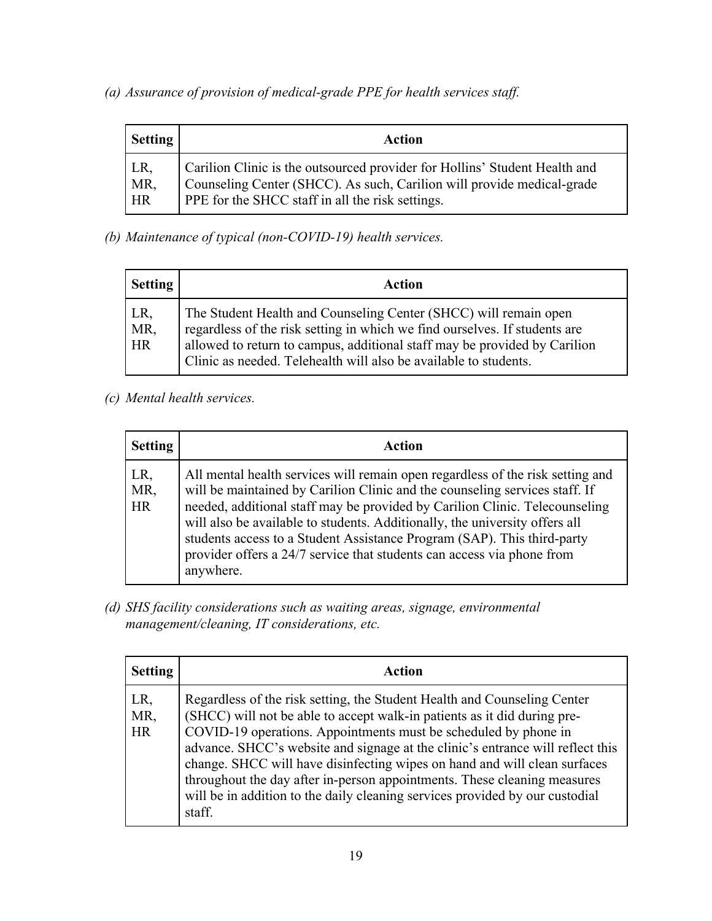*(a) Assurance of provision of medical-grade PPE for health services staff.*

| <b>Setting</b>   | Action                                                                                                                                                                                                   |
|------------------|----------------------------------------------------------------------------------------------------------------------------------------------------------------------------------------------------------|
| LR,<br>MR,<br>HR | Carilion Clinic is the outsourced provider for Hollins' Student Health and<br>Counseling Center (SHCC). As such, Carilion will provide medical-grade<br>PPE for the SHCC staff in all the risk settings. |

*(b) Maintenance of typical (non-COVID-19) health services.*

| <b>Setting</b>   | Action                                                                                                                                                                                                                                                                                          |
|------------------|-------------------------------------------------------------------------------------------------------------------------------------------------------------------------------------------------------------------------------------------------------------------------------------------------|
| LR,<br>MR,<br>HR | The Student Health and Counseling Center (SHCC) will remain open<br>regardless of the risk setting in which we find ourselves. If students are<br>allowed to return to campus, additional staff may be provided by Carilion<br>Clinic as needed. Telehealth will also be available to students. |

*(c) Mental health services.*

| <b>Setting</b>   | Action                                                                                                                                                                                                                                                                                                                                                                                                                                                                                        |
|------------------|-----------------------------------------------------------------------------------------------------------------------------------------------------------------------------------------------------------------------------------------------------------------------------------------------------------------------------------------------------------------------------------------------------------------------------------------------------------------------------------------------|
| LR,<br>MR,<br>HR | All mental health services will remain open regardless of the risk setting and<br>will be maintained by Carilion Clinic and the counseling services staff. If<br>needed, additional staff may be provided by Carilion Clinic. Telecounseling<br>will also be available to students. Additionally, the university offers all<br>students access to a Student Assistance Program (SAP). This third-party<br>provider offers a 24/7 service that students can access via phone from<br>anywhere. |

*(d) SHS facility considerations such as waiting areas, signage, environmental management/cleaning, IT considerations, etc.*

| <b>Setting</b>          | Action                                                                                                                                                                                                                                                                                                                                                                                                                                                                                                                                                       |
|-------------------------|--------------------------------------------------------------------------------------------------------------------------------------------------------------------------------------------------------------------------------------------------------------------------------------------------------------------------------------------------------------------------------------------------------------------------------------------------------------------------------------------------------------------------------------------------------------|
| LR,<br>MR,<br><b>HR</b> | Regardless of the risk setting, the Student Health and Counseling Center<br>(SHCC) will not be able to accept walk-in patients as it did during pre-<br>COVID-19 operations. Appointments must be scheduled by phone in<br>advance. SHCC's website and signage at the clinic's entrance will reflect this<br>change. SHCC will have disinfecting wipes on hand and will clean surfaces<br>throughout the day after in-person appointments. These cleaning measures<br>will be in addition to the daily cleaning services provided by our custodial<br>staff. |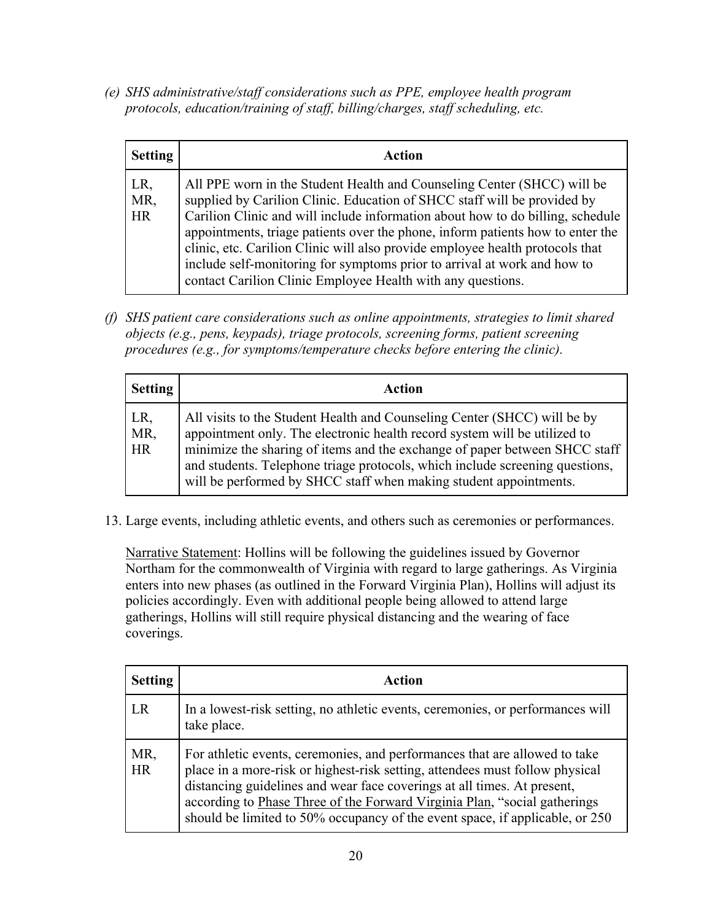*(e) SHS administrative/staff considerations such as PPE, employee health program protocols, education/training of staff, billing/charges, staff scheduling, etc.*

| <b>Setting</b>          | Action                                                                                                                                                                                                                                                                                                                                                                                                                                                                                                                                              |
|-------------------------|-----------------------------------------------------------------------------------------------------------------------------------------------------------------------------------------------------------------------------------------------------------------------------------------------------------------------------------------------------------------------------------------------------------------------------------------------------------------------------------------------------------------------------------------------------|
| LR,<br>MR,<br><b>HR</b> | All PPE worn in the Student Health and Counseling Center (SHCC) will be<br>supplied by Carilion Clinic. Education of SHCC staff will be provided by<br>Carilion Clinic and will include information about how to do billing, schedule<br>appointments, triage patients over the phone, inform patients how to enter the<br>clinic, etc. Carilion Clinic will also provide employee health protocols that<br>include self-monitoring for symptoms prior to arrival at work and how to<br>contact Carilion Clinic Employee Health with any questions. |

*(f) SHS patient care considerations such as online appointments, strategies to limit shared objects (e.g., pens, keypads), triage protocols, screening forms, patient screening procedures (e.g., for symptoms/temperature checks before entering the clinic).* 

| <b>Setting</b>          | Action                                                                                                                                                                                                                                                                                                                                                                                   |
|-------------------------|------------------------------------------------------------------------------------------------------------------------------------------------------------------------------------------------------------------------------------------------------------------------------------------------------------------------------------------------------------------------------------------|
| LR,<br>MR,<br><b>HR</b> | All visits to the Student Health and Counseling Center (SHCC) will be by<br>appointment only. The electronic health record system will be utilized to<br>minimize the sharing of items and the exchange of paper between SHCC staff<br>and students. Telephone triage protocols, which include screening questions,<br>will be performed by SHCC staff when making student appointments. |

13. Large events, including athletic events, and others such as ceremonies or performances.

Narrative Statement: Hollins will be following the guidelines issued by Governor Northam for the commonwealth of Virginia with regard to large gatherings. As Virginia enters into new phases (as outlined in the Forward Virginia Plan), Hollins will adjust its policies accordingly. Even with additional people being allowed to attend large gatherings, Hollins will still require physical distancing and the wearing of face coverings.

| <b>Setting</b> | Action                                                                                                                                                                                                                                                                                                                                                                                             |
|----------------|----------------------------------------------------------------------------------------------------------------------------------------------------------------------------------------------------------------------------------------------------------------------------------------------------------------------------------------------------------------------------------------------------|
| LR             | In a lowest-risk setting, no athletic events, ceremonies, or performances will<br>take place.                                                                                                                                                                                                                                                                                                      |
| MR,<br>HR      | For athletic events, ceremonies, and performances that are allowed to take<br>place in a more-risk or highest-risk setting, attendees must follow physical<br>distancing guidelines and wear face coverings at all times. At present,<br>according to Phase Three of the Forward Virginia Plan, "social gatherings<br>should be limited to 50% occupancy of the event space, if applicable, or 250 |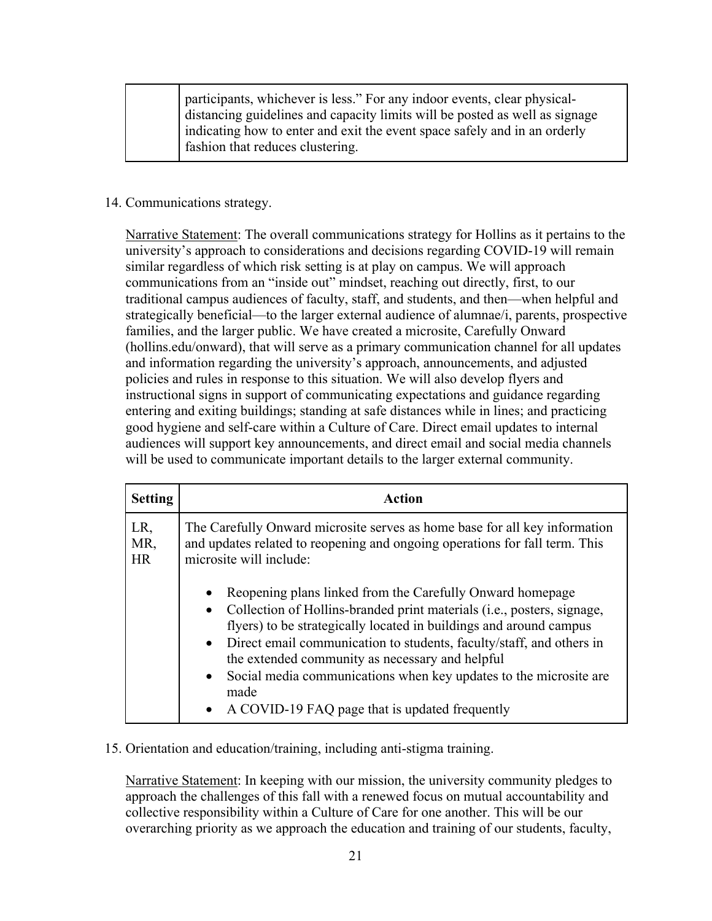participants, whichever is less." For any indoor events, clear physicaldistancing guidelines and capacity limits will be posted as well as signage indicating how to enter and exit the event space safely and in an orderly fashion that reduces clustering.

#### 14. Communications strategy.

Narrative Statement: The overall communications strategy for Hollins as it pertains to the university's approach to considerations and decisions regarding COVID-19 will remain similar regardless of which risk setting is at play on campus. We will approach communications from an "inside out" mindset, reaching out directly, first, to our traditional campus audiences of faculty, staff, and students, and then—when helpful and strategically beneficial—to the larger external audience of alumnae/i, parents, prospective families, and the larger public. We have created a microsite, Carefully Onward (hollins.edu/onward), that will serve as a primary communication channel for all updates and information regarding the university's approach, announcements, and adjusted policies and rules in response to this situation. We will also develop flyers and instructional signs in support of communicating expectations and guidance regarding entering and exiting buildings; standing at safe distances while in lines; and practicing good hygiene and self-care within a Culture of Care. Direct email updates to internal audiences will support key announcements, and direct email and social media channels will be used to communicate important details to the larger external community.

| <b>Setting</b>    | Action                                                                                                                                                                                                                                                                                                                                                                                                                                                                                 |
|-------------------|----------------------------------------------------------------------------------------------------------------------------------------------------------------------------------------------------------------------------------------------------------------------------------------------------------------------------------------------------------------------------------------------------------------------------------------------------------------------------------------|
| LR,<br>MR,<br>HR. | The Carefully Onward microsite serves as home base for all key information<br>and updates related to reopening and ongoing operations for fall term. This<br>microsite will include:                                                                                                                                                                                                                                                                                                   |
|                   | Reopening plans linked from the Carefully Onward homepage<br>• Collection of Hollins-branded print materials (i.e., posters, signage,<br>flyers) to be strategically located in buildings and around campus<br>• Direct email communication to students, faculty/staff, and others in<br>the extended community as necessary and helpful<br>• Social media communications when key updates to the microsite are<br>made<br>A COVID-19 FAQ page that is updated frequently<br>$\bullet$ |

## 15. Orientation and education/training, including anti-stigma training.

Narrative Statement: In keeping with our mission, the university community pledges to approach the challenges of this fall with a renewed focus on mutual accountability and collective responsibility within a Culture of Care for one another. This will be our overarching priority as we approach the education and training of our students, faculty,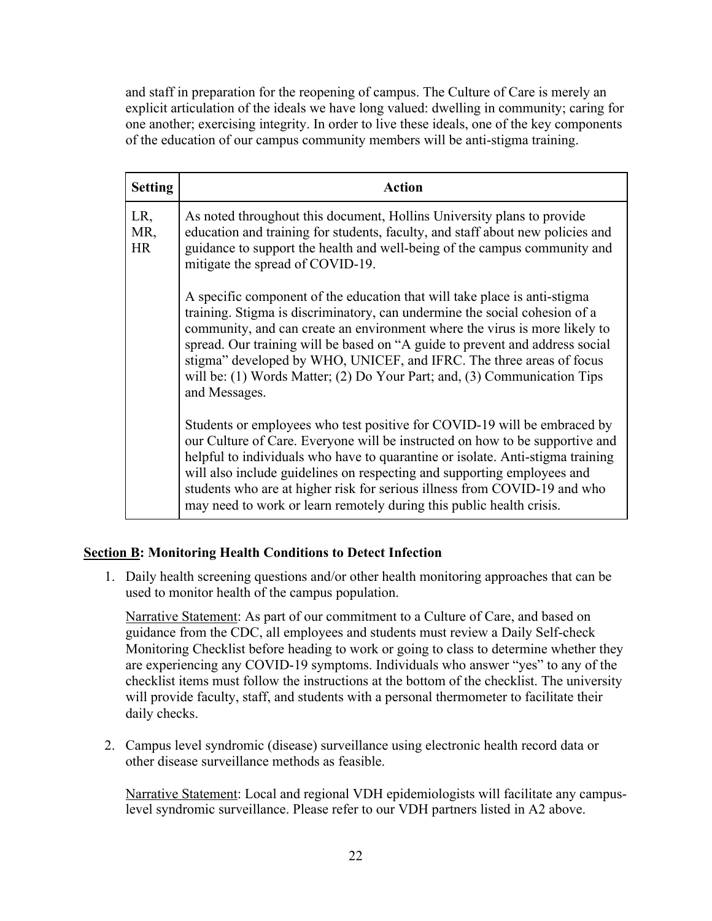and staff in preparation for the reopening of campus. The Culture of Care is merely an explicit articulation of the ideals we have long valued: dwelling in community; caring for one another; exercising integrity. In order to live these ideals, one of the key components of the education of our campus community members will be anti-stigma training.

| <b>Setting</b>          | <b>Action</b>                                                                                                                                                                                                                                                                                                                                                                                                                                                                              |
|-------------------------|--------------------------------------------------------------------------------------------------------------------------------------------------------------------------------------------------------------------------------------------------------------------------------------------------------------------------------------------------------------------------------------------------------------------------------------------------------------------------------------------|
| LR,<br>MR,<br><b>HR</b> | As noted throughout this document, Hollins University plans to provide<br>education and training for students, faculty, and staff about new policies and<br>guidance to support the health and well-being of the campus community and<br>mitigate the spread of COVID-19.                                                                                                                                                                                                                  |
|                         | A specific component of the education that will take place is anti-stigma<br>training. Stigma is discriminatory, can undermine the social cohesion of a<br>community, and can create an environment where the virus is more likely to<br>spread. Our training will be based on "A guide to prevent and address social<br>stigma" developed by WHO, UNICEF, and IFRC. The three areas of focus<br>will be: (1) Words Matter; (2) Do Your Part; and, (3) Communication Tips<br>and Messages. |
|                         | Students or employees who test positive for COVID-19 will be embraced by<br>our Culture of Care. Everyone will be instructed on how to be supportive and<br>helpful to individuals who have to quarantine or isolate. Anti-stigma training<br>will also include guidelines on respecting and supporting employees and<br>students who are at higher risk for serious illness from COVID-19 and who<br>may need to work or learn remotely during this public health crisis.                 |

## **Section B: Monitoring Health Conditions to Detect Infection**

1. Daily health screening questions and/or other health monitoring approaches that can be used to monitor health of the campus population.

Narrative Statement: As part of our commitment to a Culture of Care, and based on guidance from the CDC, all employees and students must review a Daily Self-check Monitoring Checklist before heading to work or going to class to determine whether they are experiencing any COVID-19 symptoms. Individuals who answer "yes" to any of the checklist items must follow the instructions at the bottom of the checklist. The university will provide faculty, staff, and students with a personal thermometer to facilitate their daily checks.

2. Campus level syndromic (disease) surveillance using electronic health record data or other disease surveillance methods as feasible.

Narrative Statement: Local and regional VDH epidemiologists will facilitate any campuslevel syndromic surveillance. Please refer to our VDH partners listed in A2 above.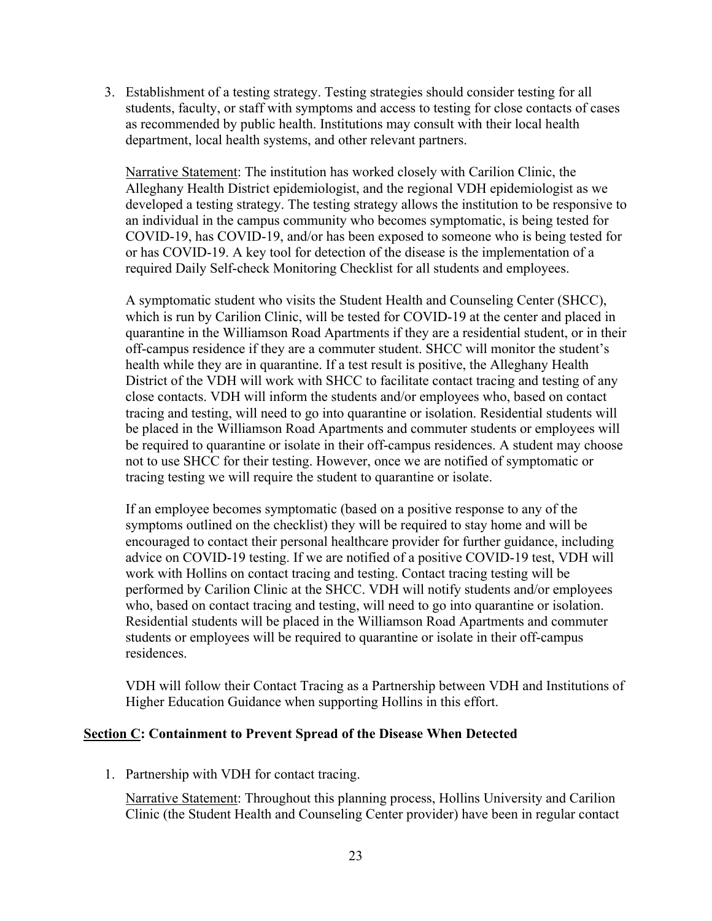3. Establishment of a testing strategy. Testing strategies should consider testing for all students, faculty, or staff with symptoms and access to testing for close contacts of cases as recommended by public health. Institutions may consult with their local health department, local health systems, and other relevant partners.

Narrative Statement: The institution has worked closely with Carilion Clinic, the Alleghany Health District epidemiologist, and the regional VDH epidemiologist as we developed a testing strategy. The testing strategy allows the institution to be responsive to an individual in the campus community who becomes symptomatic, is being tested for COVID-19, has COVID-19, and/or has been exposed to someone who is being tested for or has COVID-19. A key tool for detection of the disease is the implementation of a required Daily Self-check Monitoring Checklist for all students and employees.

A symptomatic student who visits the Student Health and Counseling Center (SHCC), which is run by Carilion Clinic, will be tested for COVID-19 at the center and placed in quarantine in the Williamson Road Apartments if they are a residential student, or in their off-campus residence if they are a commuter student. SHCC will monitor the student's health while they are in quarantine. If a test result is positive, the Alleghany Health District of the VDH will work with SHCC to facilitate contact tracing and testing of any close contacts. VDH will inform the students and/or employees who, based on contact tracing and testing, will need to go into quarantine or isolation. Residential students will be placed in the Williamson Road Apartments and commuter students or employees will be required to quarantine or isolate in their off-campus residences. A student may choose not to use SHCC for their testing. However, once we are notified of symptomatic or tracing testing we will require the student to quarantine or isolate.

If an employee becomes symptomatic (based on a positive response to any of the symptoms outlined on the checklist) they will be required to stay home and will be encouraged to contact their personal healthcare provider for further guidance, including advice on COVID-19 testing. If we are notified of a positive COVID-19 test, VDH will work with Hollins on contact tracing and testing. Contact tracing testing will be performed by Carilion Clinic at the SHCC. VDH will notify students and/or employees who, based on contact tracing and testing, will need to go into quarantine or isolation. Residential students will be placed in the Williamson Road Apartments and commuter students or employees will be required to quarantine or isolate in their off-campus residences.

VDH will follow their Contact Tracing as a Partnership between VDH and Institutions of Higher Education Guidance when supporting Hollins in this effort.

#### **Section C: Containment to Prevent Spread of the Disease When Detected**

1. Partnership with VDH for contact tracing.

Narrative Statement: Throughout this planning process, Hollins University and Carilion Clinic (the Student Health and Counseling Center provider) have been in regular contact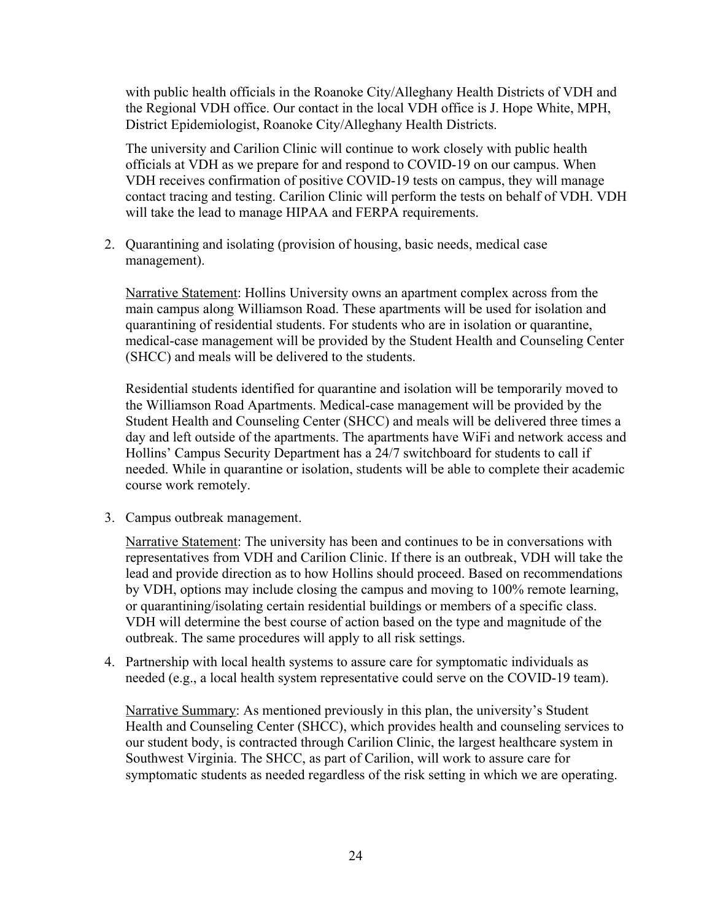with public health officials in the Roanoke City/Alleghany Health Districts of VDH and the Regional VDH office. Our contact in the local VDH office is J. Hope White, MPH, District Epidemiologist, Roanoke City/Alleghany Health Districts.

The university and Carilion Clinic will continue to work closely with public health officials at VDH as we prepare for and respond to COVID-19 on our campus. When VDH receives confirmation of positive COVID-19 tests on campus, they will manage contact tracing and testing. Carilion Clinic will perform the tests on behalf of VDH. VDH will take the lead to manage HIPAA and FERPA requirements.

2. Quarantining and isolating (provision of housing, basic needs, medical case management).

Narrative Statement: Hollins University owns an apartment complex across from the main campus along Williamson Road. These apartments will be used for isolation and quarantining of residential students. For students who are in isolation or quarantine, medical-case management will be provided by the Student Health and Counseling Center (SHCC) and meals will be delivered to the students.

Residential students identified for quarantine and isolation will be temporarily moved to the Williamson Road Apartments. Medical-case management will be provided by the Student Health and Counseling Center (SHCC) and meals will be delivered three times a day and left outside of the apartments. The apartments have WiFi and network access and Hollins' Campus Security Department has a 24/7 switchboard for students to call if needed. While in quarantine or isolation, students will be able to complete their academic course work remotely.

3. Campus outbreak management.

Narrative Statement: The university has been and continues to be in conversations with representatives from VDH and Carilion Clinic. If there is an outbreak, VDH will take the lead and provide direction as to how Hollins should proceed. Based on recommendations by VDH, options may include closing the campus and moving to 100% remote learning, or quarantining/isolating certain residential buildings or members of a specific class. VDH will determine the best course of action based on the type and magnitude of the outbreak. The same procedures will apply to all risk settings.

4. Partnership with local health systems to assure care for symptomatic individuals as needed (e.g., a local health system representative could serve on the COVID-19 team).

Narrative Summary: As mentioned previously in this plan, the university's Student Health and Counseling Center (SHCC), which provides health and counseling services to our student body, is contracted through Carilion Clinic, the largest healthcare system in Southwest Virginia. The SHCC, as part of Carilion, will work to assure care for symptomatic students as needed regardless of the risk setting in which we are operating.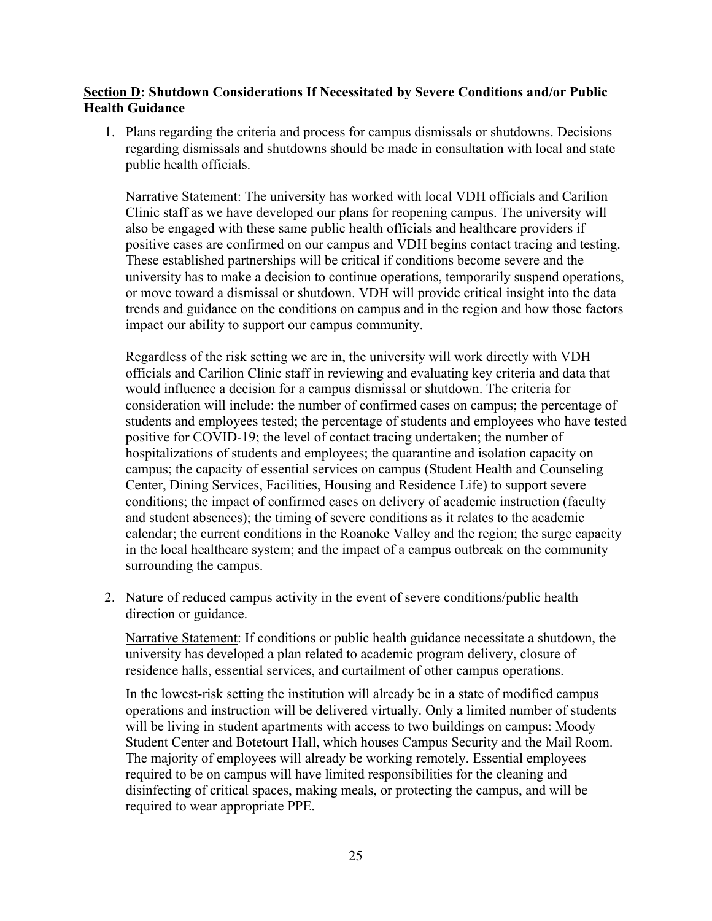#### **Section D: Shutdown Considerations If Necessitated by Severe Conditions and/or Public Health Guidance**

1. Plans regarding the criteria and process for campus dismissals or shutdowns. Decisions regarding dismissals and shutdowns should be made in consultation with local and state public health officials.

Narrative Statement: The university has worked with local VDH officials and Carilion Clinic staff as we have developed our plans for reopening campus. The university will also be engaged with these same public health officials and healthcare providers if positive cases are confirmed on our campus and VDH begins contact tracing and testing. These established partnerships will be critical if conditions become severe and the university has to make a decision to continue operations, temporarily suspend operations, or move toward a dismissal or shutdown. VDH will provide critical insight into the data trends and guidance on the conditions on campus and in the region and how those factors impact our ability to support our campus community.

Regardless of the risk setting we are in, the university will work directly with VDH officials and Carilion Clinic staff in reviewing and evaluating key criteria and data that would influence a decision for a campus dismissal or shutdown. The criteria for consideration will include: the number of confirmed cases on campus; the percentage of students and employees tested; the percentage of students and employees who have tested positive for COVID-19; the level of contact tracing undertaken; the number of hospitalizations of students and employees; the quarantine and isolation capacity on campus; the capacity of essential services on campus (Student Health and Counseling Center, Dining Services, Facilities, Housing and Residence Life) to support severe conditions; the impact of confirmed cases on delivery of academic instruction (faculty and student absences); the timing of severe conditions as it relates to the academic calendar; the current conditions in the Roanoke Valley and the region; the surge capacity in the local healthcare system; and the impact of a campus outbreak on the community surrounding the campus.

2. Nature of reduced campus activity in the event of severe conditions/public health direction or guidance.

Narrative Statement: If conditions or public health guidance necessitate a shutdown, the university has developed a plan related to academic program delivery, closure of residence halls, essential services, and curtailment of other campus operations.

In the lowest-risk setting the institution will already be in a state of modified campus operations and instruction will be delivered virtually. Only a limited number of students will be living in student apartments with access to two buildings on campus: Moody Student Center and Botetourt Hall, which houses Campus Security and the Mail Room. The majority of employees will already be working remotely. Essential employees required to be on campus will have limited responsibilities for the cleaning and disinfecting of critical spaces, making meals, or protecting the campus, and will be required to wear appropriate PPE.